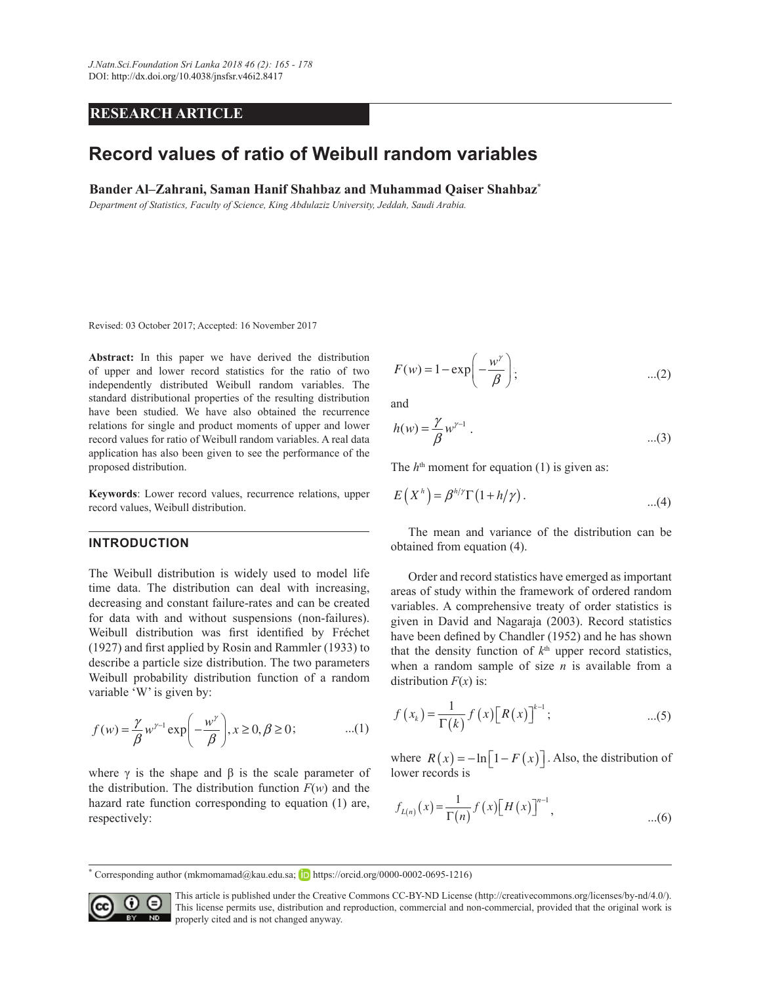## **RESEARCH ARTICLE**

# **Record values of ratio of Weibull random variables**

**Bander Al–Zahrani, Saman Hanif Shahbaz and Muhammad Qaiser Shahbaz<sup>\*</sup>** 

*Department of Statistics, Faculty of Science, King Abdulaziz University, Jeddah, Saudi Arabia.*

Revised: 03 October 2017; Accepted: 16 November 2017

Abstract: In this paper we have derived the distribution of upper and lower record statistics for the ratio of two independently distributed Weibull random variables. The standard distributional properties of the resulting distribution have been studied. We have also obtained the recurrence relations for single and product moments of upper and lower  $h(w) = \frac{1}{2}w^{\gamma-1}$ record values for ratio of Weibull random variables. A real data application has also been given to see the performance of the proposed distribution.

**Keywords**: Lower record values, recurrence relations, upper record values, Weibull distribution.

#### **INTRODUCTION**

The Weibull distribution is widely used to model life time data. The distribution can deal with increasing, decreasing and constant failure-rates and can be created for data with and without suspensions (non-failures). Weibull distribution was first identified by Fréchet  $(1927)$  and first applied by Rosin and Rammler  $(1933)$  to describe a particle size distribution. The two parameters Weibull probability distribution function of a random variable 'W' is given by:

$$
f(w) = \frac{\gamma}{\beta} w^{\gamma - 1} \exp\left(-\frac{w^{\gamma}}{\beta}\right), x \ge 0, \beta \ge 0; \tag{1}
$$

where  $\gamma$  is the shape and  $\beta$  is the scale parameter of the distribution. The distribution function  $F(w)$  and the hazard rate function corresponding to equation (1) are, respectively:

$$
F(w) = 1 - \exp\left(-\frac{w^{\gamma}}{\beta}\right); \qquad ...(2)
$$

and

$$
h(w) = \frac{\gamma}{\beta} w^{\gamma - 1} \ . \tag{3}
$$

The  $h<sup>th</sup>$  moment for equation (1) is given as:

$$
E(Xh) = \betah/\gamma \Gamma(1 + h/\gamma).
$$
...(4)

 The mean and variance of the distribution can be obtained from equation (4).

 Order and record statistics have emerged as important areas of study within the framework of ordered random variables. A comprehensive treaty of order statistics is given in David and Nagaraja (2003). Record statistics have been defined by Chandler (1952) and he has shown that the density function of  $k<sup>th</sup>$  upper record statistics, when a random sample of size  $n$  is available from a distribution  $F(x)$  is:

$$
f(x_k) = \frac{1}{\Gamma(k)} f(x) [R(x)]^{k-1}; \qquad ...(5)
$$

where  $R(x) = m_1 x$ where  $R(x) = -\ln[1 - F(x)]$ . Also, the distribution of lower records is

$$
f_{L(n)}(x) = \frac{1}{\Gamma(n)} f(x) [H(x)]^{n-1},
$$
...(6)

<sup>\*</sup> Corresponding author (mkmomamad@kau.edu.sa; **ID** https://orcid.org/0000-0002-0695-1216)  $\frac{00,0002,0695,1216}{0}$ 



This article is published under the Creative Commons CC-BY-ND License (http://creativecommons.org/licenses/by-nd/4.0/). This license permits use, distribution and reproduction, commercial and non-commercial, provided that the original work is properly cited and is not changed anyway.  $\overline{SD}$  properly cited and is not changed anyway.

*H x F x* ( ) ( ) ln . ª º ¬ ¼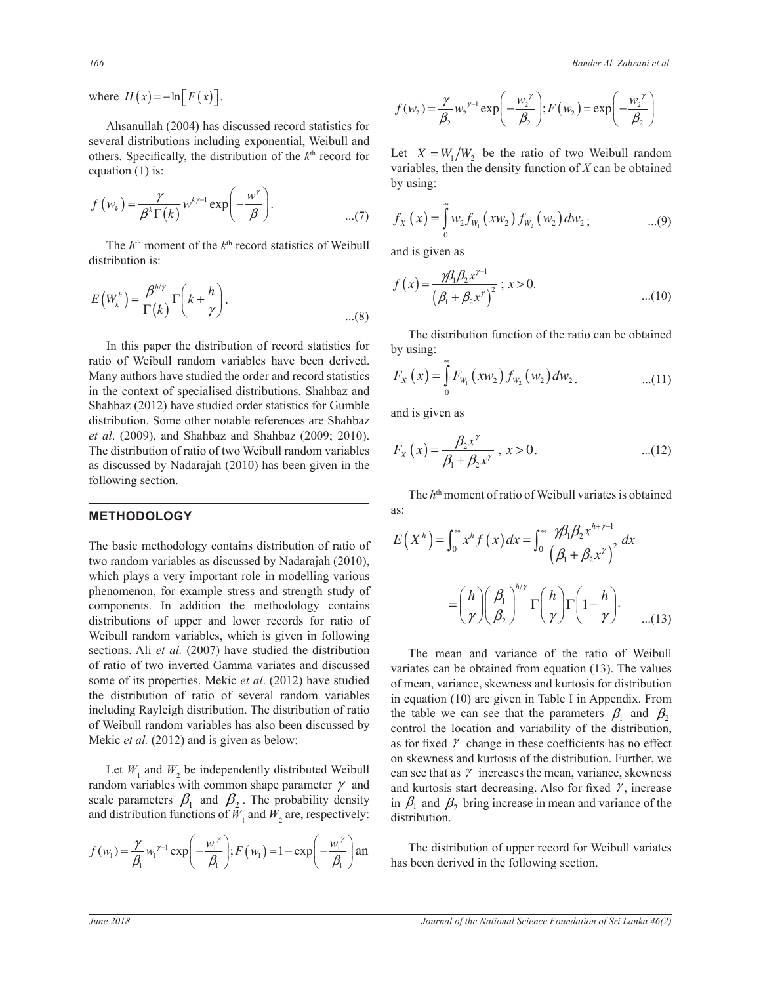**166** Bander Al–Zahrani et al. **Bander Al-Zahrani** 

where  $H(x) = -\ln[F(x)].$ 

others. Specifically, the distribution of the  $k<sup>th</sup>$  record for equation (1) is: Ahsanullah (2004) has discussed record statistics for several distributions including exponential, Weibull and equation (1) is:

$$
f(w_k) = \frac{\gamma}{\beta^k \Gamma(k)} w^{k\gamma - 1} \exp\left(-\frac{w^{\gamma}}{\beta}\right).
$$
...(7) 
$$
f_X(x) = \int_0^{\infty} w_2 f_{W_1}(x w_2) f_{W_2}
$$

The  $h<sup>th</sup>$  moment of the  $k<sup>th</sup>$  record statistics of Weibull distribution is:

$$
E\left(W_k^h\right) = \frac{\beta^{h/\gamma}}{\Gamma(k)} \Gamma\left(k + \frac{h}{\gamma}\right).
$$
\n
$$
f\left(x\right) = \frac{\gamma p_1 p_2 x^{\gamma}}{\left(\beta_1 + \beta_2 x^{\gamma}\right)^2}; \ x > 0.
$$
\n
$$
\dots (8)
$$

 In this paper the distribution of record statistics for ratio of Weibull random variables have been derived. Many authors have studied the order and record statistics in the context of specialised distributions. Shahbaz and Shahbaz (2012) have studied order statistics for Gumble distribution. Some other notable references are Shahbaz *et al*. (2009), and Shahbaz and Shahbaz (2009; 2010). The distribution of ratio of two Weibull random variables as discussed by Nadarajah (2010) has been given in the following section.

## **METHODOLOGY**

The basic methodology contains distribution of ratio of two random variables as discussed by Nadarajah (2010), which plays a very important role in modelling various phenomenon, for example stress and strength study of components. In addition the methodology contains components. In addition the methodology contains  $= \left(\frac{n}{\gamma}\right)\left(\frac{\beta_1}{\beta_2}\right) \Gamma\left(\frac{n}{\gamma}\right)\Gamma\left(1-\frac{n}{\gamma}\right)$ .<br>distributions of upper and lower records for ratio of Weibull random variables, which is given in following sections. Ali *et al.* (2007) have studied the distribution of ratio of two inverted Gamma variates and discussed some of its properties. Mekic *et al.* (2012) have studied the distribution of ratio of several random variables including Rayleigh distribution. The distribution of ratio of Weibull random variables has also been discussed by Mekic *et al.* (2012) and is given as below:

scale parameters  $\beta_1$  and  $\beta_2$ . The probability density and distribution functions of  $\tilde{W}_1$  and  $\tilde{W}_2$  are, respectively: Let  $W_1$  and  $W_2$  be independently distributed Weibull random variables with common shape parameter  $\gamma$  and

$$
f(w_1) = \frac{\gamma}{\beta_1} w_1^{\gamma - 1} \exp\left(-\frac{w_1^{\gamma}}{\beta_1}\right); F(w_1) = 1 - \exp\left(-\frac{w_1^{\gamma}}{\beta_1}\right) \text{an}
$$

 $\frac{1}{\sqrt{2}}$   $\frac{1}{\sqrt{2}}$   $\frac{1}{\sqrt{2}}$   $\frac{1}{\sqrt{2}}$   $\frac{1}{\sqrt{2}}$   $\frac{1}{\sqrt{2}}$   $\frac{1}{\sqrt{2}}$   $\frac{1}{\sqrt{2}}$   $\frac{1}{\sqrt{2}}$   $\frac{1}{\sqrt{2}}$   $\frac{1}{\sqrt{2}}$   $\frac{1}{\sqrt{2}}$   $\frac{1}{\sqrt{2}}$   $\frac{1}{\sqrt{2}}$   $\frac{1}{\sqrt{2}}$   $\frac{1}{\sqrt{2}}$   $\frac{1}{\sqrt{2}}$ 

$$
f(w_2) = \frac{\gamma}{\beta_2} w_2^{\gamma - 1} \exp\left(-\frac{w_2^{\gamma}}{\beta_2}\right); F(w_2) = \exp\left(-\frac{w_2^{\gamma}}{\beta_2}\right)
$$

Let  $X = W_1/W_2$  be the ratio of two Weibull random variables, then the density function of  $X$  can be obtained by using: by using: ¦<br>∞ ³ tl

$$
f_X(x) = \int_0^\infty w_2 f_{W_1}(xw_2) f_{W_2}(w_2) dw_2; \qquad \dots (9)
$$

and is given as

$$
f(x) = \frac{\gamma \beta_1 \beta_2 x^{\gamma - 1}}{\left(\beta_1 + \beta_2 x^{\gamma}\right)^2}; x > 0.
$$
...(10)

The distribution function of the ratio can be obtained by using:  $\ddot{\bullet}$ 

$$
F_X(x) = \int_0^{\infty} F_{W_1}(xw_2) f_{W_2}(w_2) dw_2.
$$
...(11)

*F x F xw f w dw* ³ 2 2 2 *Figures*  $x \in \mathbb{R}^n$  *as*  $\mathbb{R}^n$  *we define*  $\mathbb{R}^n$  *with*  $\mathbb{R}^n$  *with*  $\mathbb{R}^n$  *in*  $\mathbb{R}^n$  *with*  $\mathbb{R}^n$  *in*  $\mathbb{R}^n$  *with*  $\mathbb{R}^n$  *in*  $\mathbb{R}^n$  *with*  $\mathbb{R}^n$  *in*  $\mathbb{R}^n$  *in*  $\mathbb{R}^n$  *in*  $\mathbb{R}^n$ and is given as

$$
F_x(x) = \frac{\beta_2 x^{\gamma}}{\beta_1 + \beta_2 x^{\gamma}}, \ x > 0.
$$
...(12)

The *h*<sup>th</sup> moment of ratio of Weibull variates is obtained as:

$$
E(X^{h}) = \int_0^{\infty} x^{h} f(x) dx = \int_0^{\infty} \frac{\gamma \beta_1 \beta_2 x^{h+\gamma-1}}{(\beta_1 + \beta_2 x^{\gamma})^2} dx
$$

$$
= \left(\frac{h}{\gamma}\right) \left(\frac{\beta_1}{\beta_2}\right)^{h/\gamma} \Gamma\left(\frac{h}{\gamma}\right) \Gamma\left(1 - \frac{h}{\gamma}\right).
$$
...(13)

variates can be obtained from equation (13). The values The mean and variance of the ratio of Weibull of mean, variance, skewness and kurtosis for distribution in equation (10) are given in Table I in Appendix. From the table we can see that the parameters  $\beta_1$  and  $\beta_2$ control the location and variability of the distribution, as for fixed  $\gamma$  change in these coefficients has no effect on skewness and kurtosis of the distribution. Further, we can see that as  $\gamma$  increases the mean, variance, skewness and kurtosis start decreasing. Also for fixed  $\gamma$ , increase in  $\beta_1$  and  $\beta_2$  bring increase in mean and variance of the distribution.

 The distribution of upper record for Weibull variates has been derived in the following section.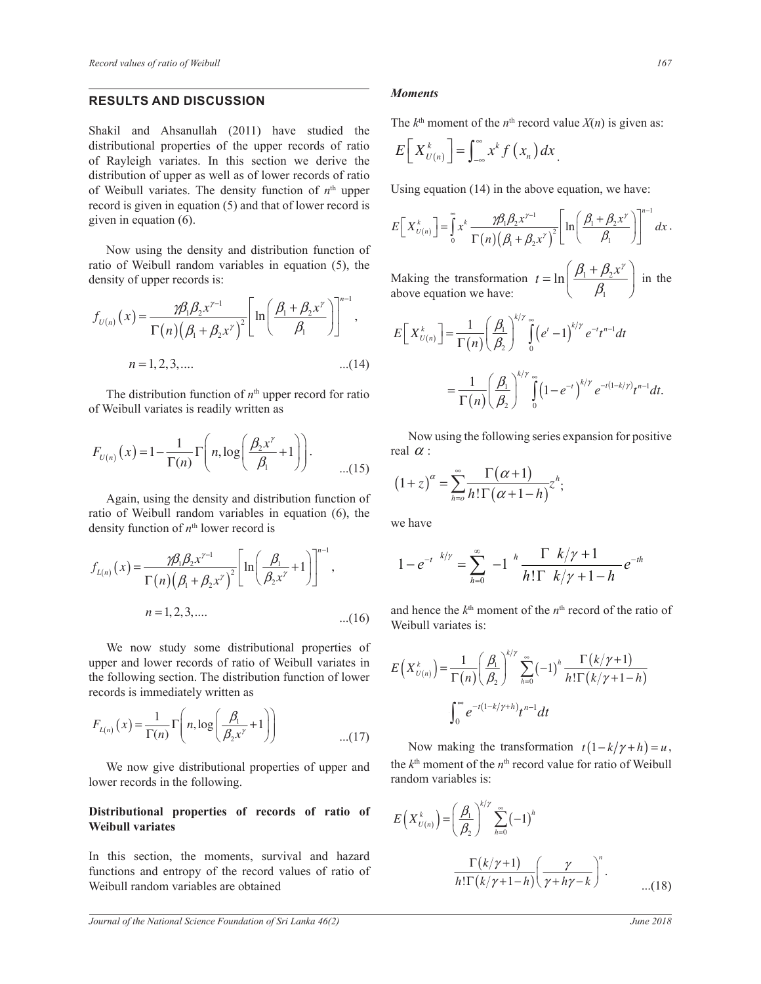## **RESULTS AND DISCUSSION**

Shakil and Ahsanullah (2011) have studied the distributional properties of the upper records of ratio of Rayleigh variates. In this section we derive the distribution of upper as well as of lower records of ratio of Weibull variates. The density function of  $n<sup>th</sup>$  upper record is given in equation (5) and that of lower record is given in equation (6).

Now using the density and distribution function of ratio of Weibull random variables in equation (5), the density of upper records is:

$$
f_{U(n)}(x) = \frac{\gamma \beta_1 \beta_2 x^{\gamma - 1}}{\Gamma(n) (\beta_1 + \beta_2 x^{\gamma})^2} \left[ \ln \left( \frac{\beta_1 + \beta_2 x^{\gamma}}{\beta_1} \right) \right]^{n-1}, \qquad E\left[ X_0^{k} \right]
$$
  
n = 1, 2, 3, .... (14)

ily written as F(n)  $\beta_2$  of Weibull variates is readily written as<br>of Weibull variates is readily written as

$$
F_{U(n)}(x) = 1 - \frac{1}{\Gamma(n)} \Gamma\left(n, \log\left(\frac{\beta_2 x^{\gamma}}{\beta_1} + 1\right)\right).
$$
 Now using the following series of  
real  $\alpha$ :  

$$
\dots(15) \qquad \qquad \dots(15) \qquad (1+z)^{\alpha} = \sum_{k=1}^{\infty} \frac{\Gamma(\alpha+1)}{k! \Gamma(\alpha+1-k)} z^{k}.
$$

ratio of Weibull random variables in equation (6), the density function of w<sup>th</sup> lower record is ϱ Again, using the density and distribution function of density function of  $n^{\text{th}}$  lower record is

$$
f_{L(n)}(x) = \frac{\gamma \beta_1 \beta_2 x^{\gamma - 1}}{\Gamma(n) (\beta_1 + \beta_2 x^{\gamma})^2} \left[ \ln \left( \frac{\beta_1}{\beta_2 x^{\gamma}} + 1 \right) \right]^{n-1}, \qquad 1 - e^{-\gamma}
$$
  
\n $n = 1, 2, 3, ....$  and then

We now study some distributional properties of<br>upper and lower records of ratio of Weibull variates in  $E(X_{\mu(\cdot)}^k) = \frac{1}{\sigma(\mu(\cdot))}$ upper and lower records of ratio of Weibull variates in the following section. The distribution function of lower records is immediately written as

$$
F_{L(n)}(x) = \frac{1}{\Gamma(n)} \Gamma\left(n, \log\left(\frac{\beta_1}{\beta_2 x^{\gamma}} + 1\right)\right)
$$
\n...(17)

We now give distributional properties of upper and the lower records in the following.

#### Distributional properties of records of ratio of **Weibull variates**

In this section, the moments, survival and hazard In this section, the moments, survival and hazard<br>functions and entropy of the record values of ratio of  $\frac{\Gamma(k)}{\Gamma(k)}$ Weibull random variables are obtained

#### *Moments*

The  $k^{\text{th}}$  moment of the  $n^{\text{th}}$  record value  $X(n)$  is given as:

$$
E\left[X_{U(n)}^k\right] = \int_{-\infty}^{\infty} x^k f\left(x_n\right) dx
$$

Using equation  $(14)$  in the above equation, we have:

$$
E\left[X_{U(n)}^{k}\right] = \int_{0}^{\infty} x^{k} \frac{\gamma \beta_{1} \beta_{2} x^{\gamma-1}}{\Gamma(n) (\beta_{1} + \beta_{2} x^{\gamma})^{2}} \left[\ln\left(\frac{\beta_{1} + \beta_{2} x^{\gamma}}{\beta_{1}}\right)\right]^{n-1} dx.
$$

Making the transformation  $t = \ln \left| \frac{p_1 + p_2}{q_1} \right|$ 1  $t = \ln \left( \frac{\beta_1 + \beta_2 x^{\gamma}}{2} \right)$  $\beta_{\scriptscriptstyle 1}$  $\left(\begin{array}{c} \beta_1+\beta_2x^{\gamma} \end{array}\right)$  $=$  ln  $\left(\frac{\mu_1 + \mu_2 x}{\beta_1}\right)$  in the Making the transformation  $t = \ln\left(\frac{\beta_1}{\beta_2}\right)$ <br>above equation we have:

$$
f_{U(n)}(x) = \frac{n! \sum_{i=1}^{N} p_i}{\Gamma(n) (\beta_1 + \beta_2 x^{\gamma})^2} \left[ \ln \left( \frac{n! \sum_{i=1}^{N} p_i}{\beta_1} \right) \right]
$$
\n
$$
E\left[ X_{U(n)}^k \right] = \frac{1}{\Gamma(n)} \left( \frac{\beta_1}{\beta_2} \right)^{k/\gamma} \int_0^{\infty} (e^t - 1)^{k/\gamma} e^{-t} t^{n-1} dt
$$
\n
$$
n = 1, 2, 3, .... \qquad ...(14)
$$
\nThe distribution function of  $n^{\text{th}}$  upper record for ratio\n
$$
= \frac{1}{\Gamma(n)} \left( \frac{\beta_1}{\beta_2} \right)^{k/\gamma} \int_0^{\infty} (1 - e^{-t})^{k/\gamma} e^{-t(1 - k/\gamma)} t^{n-1} dt.
$$
\nof Weibull variates is readily written as\n
$$
1 \left( \frac{1}{\Gamma(n)} \left( \frac{\beta_1}{\beta_2} \right)^{k/\gamma} e^{-t(1 - k/\gamma)} t^{n-1} dt + \frac{1}{\Gamma(n)} \left( \frac{\beta_1}{\beta_2} \right)^{k/\gamma} e^{-t(1 - k/\gamma)} t^{n-1} dt + \frac{1}{\Gamma(n)} \left( \frac{\beta_1}{\beta_2} \right)^{k/\gamma} e^{-t(1 - k/\gamma)} t^{n-1} dt.
$$

 $\overline{\phantom{a}}$  *h*  $\overline{\phantom{a}}$  following series expand real  $\alpha$  :  $\Gamma(\alpha+1)$ Now using the following series expansion for positive<br> $\alpha :$ <br> $\sum_{\alpha=1}^{\infty} C(\alpha + 1)$ 

$$
\begin{array}{ll}\n\ldots(15) & (1+z)^{\alpha} = \sum_{h=0}^{\infty} \frac{\Gamma(\alpha+1)}{h! \Gamma(\alpha+1-h)} z^h; \\
\text{in (6), the} & \text{we have}\n\end{array}
$$

we have

$$
1 - e^{-t k/\gamma} = \sum_{h=0}^{\infty} -1 \frac{1}{h! \Gamma(k/\gamma + 1 - h)} e^{-th}
$$

% of the  $n^{\text{th}}$  record of the ratio of  $h=0$   $h:1 \quad \kappa / \gamma + 1 - n$ <br>and hence the  $k^{\text{th}}$  moment of the  $n^{\text{th}}$  record of the ratio of<br>Weibull variates is: Weibull variates is:

$$
E\left(X_{U(n)}^k\right) = \frac{1}{\Gamma(n)} \left(\frac{\beta_1}{\beta_2}\right)^{k/\gamma} \sum_{h=0}^{\infty} (-1)^h \frac{\Gamma(k/\gamma+1)}{h!\Gamma(k/\gamma+1-h)}
$$

$$
\int_0^{\infty} e^{-t(1-k/\gamma+h)} t^{n-1} dt
$$

Now making the transformation  $t(1-k/\gamma + h) = u$ ,<br>the *k*<sup>th</sup> moment of the *n*<sup>th</sup> record value for ratio of Weibull serties of upper and  $\frac{\text{Im } \kappa \text{ moment of the } n}{\text{random variables is:}}$ (ables is:  $\left(\frac{1}{2}a\right)^{k/2}$ Now making the transformation  $t(1 - k/\gamma + h) = u$ ,

$$
E\left(X_{U(n)}^{k}\right) = \left(\frac{\beta_{1}}{\beta_{2}}\right)^{k/\gamma} \sum_{h=0}^{\infty} (-1)^{h}
$$

$$
\frac{\Gamma(k/\gamma+1)}{h!\Gamma(k/\gamma+1-h)} \left(\frac{\gamma}{\gamma+h\gamma-k}\right)^{n}.
$$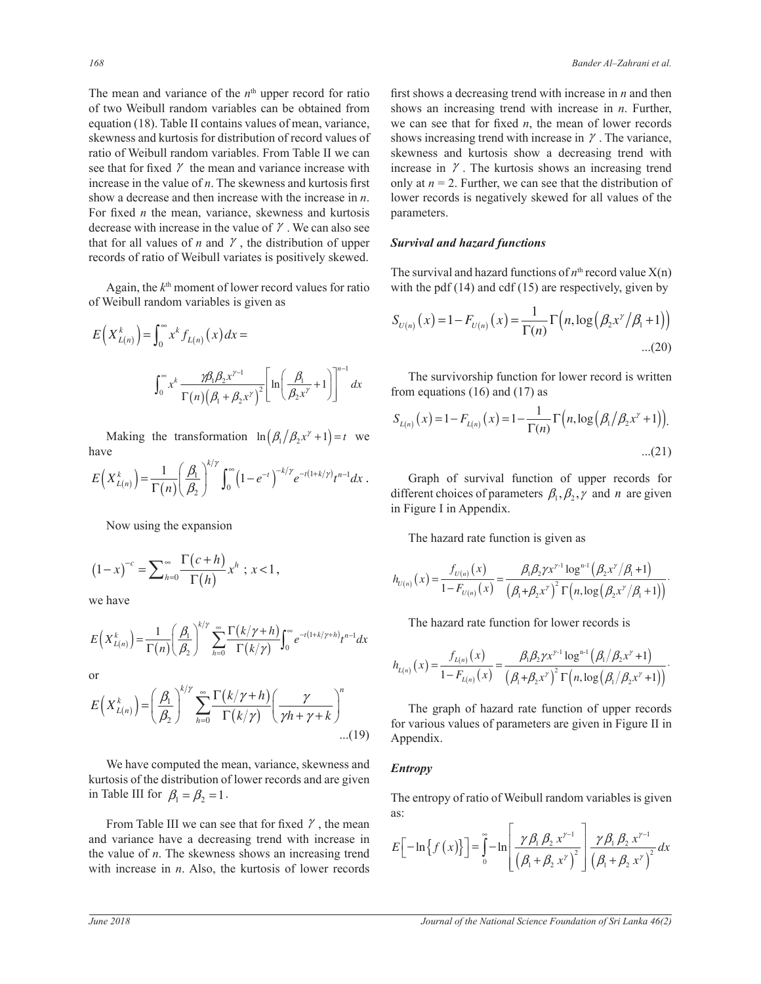The mean and variance of the  $n<sup>th</sup>$  upper record for ratio of two Weibull random variables can be obtained from equation (18). Table II contains values of mean, variance, skewness and kurtosis for distribution of record values of ratio of Weibull random variables. From Table II we can see that for fixed  $\gamma$  the mean and variance increase with increase in the value of  $n$ . The skewness and kurtosis first show a decrease and then increase with the increase in  $n$ . For fixed *n* the mean, variance, skewness and kurtosis decrease with increase in the value of  $\gamma$ . We can also see that for all values of  $n$  and  $\gamma$ , the distribution of upper records of ratio of Weibull variates is positively skewed.

Again, the  $k<sup>th</sup>$  moment of lower record values for ratio of Weibull random variables is given as

$$
E(X_{L(n)}^k) = \int_0^\infty x^k f_{L(n)}(x) dx =
$$
  

$$
\int_0^\infty x^k \frac{\gamma \beta_1 \beta_2 x^{\gamma - 1}}{\Gamma(n) (\beta_1 + \beta_2 x^\gamma)^2} \left[ \ln \left( \frac{\beta_1}{\beta_2 x^\gamma} + 1 \right) \right]^{n-1} dx
$$
 The surviving function for  
from equations (16) and (17) as

Making the transformation  $\ln (\beta_1/\beta_2 x^{\gamma} + 1) = t$  we have have

have  
\n
$$
E(X_{L(n)}^k) = \frac{1}{\Gamma(n)} \left(\frac{\beta_1}{\beta_2}\right)^{k/\gamma} \int_0^{\infty} \left(1 - e^{-t}\right)^{-k/\gamma} e^{-t(1+k/\gamma)} t^{n-1} dx.
$$
\ndiff

Now using the expansion

$$
(1-x)^{-c} = \sum_{h=0}^{\infty} \frac{\Gamma(c+h)}{\Gamma(h)} x^h \, ; \, x < 1 \, ,
$$

we have

$$
E(X_{L(n)}^k) = \frac{1}{\Gamma(n)} \left(\frac{\beta_1}{\beta_2}\right)^{k/\gamma} \sum_{h=0}^{\infty} \frac{\Gamma(k/\gamma + h)}{\Gamma(k/\gamma)} \int_0^{\infty} e^{-t(1+k/\gamma + h)} t^{n-1} dx
$$
  
or

or

$$
E(X_{L(n)}^{k}) = \left(\frac{\beta_{1}}{\beta_{2}}\right)^{k/\gamma} \sum_{h=0}^{\infty} \frac{\Gamma(k/\gamma + h)}{\Gamma(k/\gamma)} \left(\frac{\gamma}{\gamma h + \gamma + k}\right)^{n}
$$
  
The graph of hazard rate function of upper records  
for various values of parameters are given in Figure II in  
Appendix.

We have computed the mean, variance, skewness and kurtosis of the distribution of lower records and are given in Table III for  $\beta_1 = \beta_2 = 1$ .

> γ the value of *n*. The skewness shows an increasing trend From Table III we can see that for fixed  $\gamma$ , the mean and variance have a decreasing trend with increase in with increase in  $n$ . Also, the kurtosis of lower records

first shows a decreasing trend with increase in  $n$  and then shows an increasing trend with increase in  $n$ . Further, we can see that for fixed *n*, the mean of lower records shows increasing trend with increase in  $\gamma$ . The variance, skewness and kurtosis show a decreasing trend with increase in  $\gamma$ . The kurtosis shows an increasing trend only at  $n = 2$ . Further, we can see that the distribution of lower records is negatively skewed for all values of the parameters.

#### *Survival and hazard functions*

The survival and hazard functions of  $n<sup>th</sup>$  record value  $X(n)$ with the pdf  $(14)$  and cdf  $(15)$  are respectively, given by

$$
S_{U(n)}(x) = 1 - F_{U(n)}(x) = \frac{1}{\Gamma(n)} \Gamma(n, \log(\beta_2 x^{\gamma}/\beta_1 + 1))
$$
...(20)

The survivorship function for lower record is written

$$
S_{L(n)}(x) = 1 - F_{L(n)}(x) = 1 - \frac{1}{\Gamma(n)} \Gamma(n, \log(\beta_1/\beta_2 x^{\gamma} + 1)).
$$
...(21)

Graph of survival function of upper records for different choices of parameters  $\beta_1, \beta_2, \gamma$  and *n* are given in Figure I in Appendix.

The hazard rate function is given as  $\mathbf{r}$  (and  $\mathbf{r}$  ) is given as

$$
h_{U(n)}(x) = \frac{f_{U(n)}(x)}{1 - F_{U(n)}(x)} = \frac{\beta_1 \beta_2 \gamma x^{\gamma_1} \log^{n_1}(\beta_2 x^{\gamma}/\beta_1 + 1)}{(\beta_1 + \beta_2 x^{\gamma})^2 \Gamma(n, \log(\beta_2 x^{\gamma}/\beta_1 + 1))}.
$$

The hazard rate function for lower records is

$$
h_{L(n)}(x) = \frac{f_{L(n)}(x)}{1 - F_{L(n)}(x)} = \frac{\beta_1 \beta_2 \gamma x^{\gamma_1} \log^{n_1}(\beta_1/\beta_2 x^{\gamma} + 1)}{(\beta_1 + \beta_2 x^{\gamma})^2 \Gamma(n, \log(\beta_1/\beta_2 x^{\gamma} + 1))}.
$$

for various values of parameters are given in Figure II in Appendix.

#### *Entropy*

The entropy of ratio of Weibull random variables is given as:

$$
E\left[-\ln\left\{f\left(x\right)\right\}\right] = \int_{0}^{\infty} -\ln\left[\frac{\gamma\beta_{1}\beta_{2} x^{\gamma-1}}{\left(\beta_{1}+\beta_{2} x^{\gamma}\right)^{2}}\right] \frac{\gamma\beta_{1}\beta_{2} x^{\gamma-1}}{\left(\beta_{1}+\beta_{2} x^{\gamma}\right)^{2}} dx
$$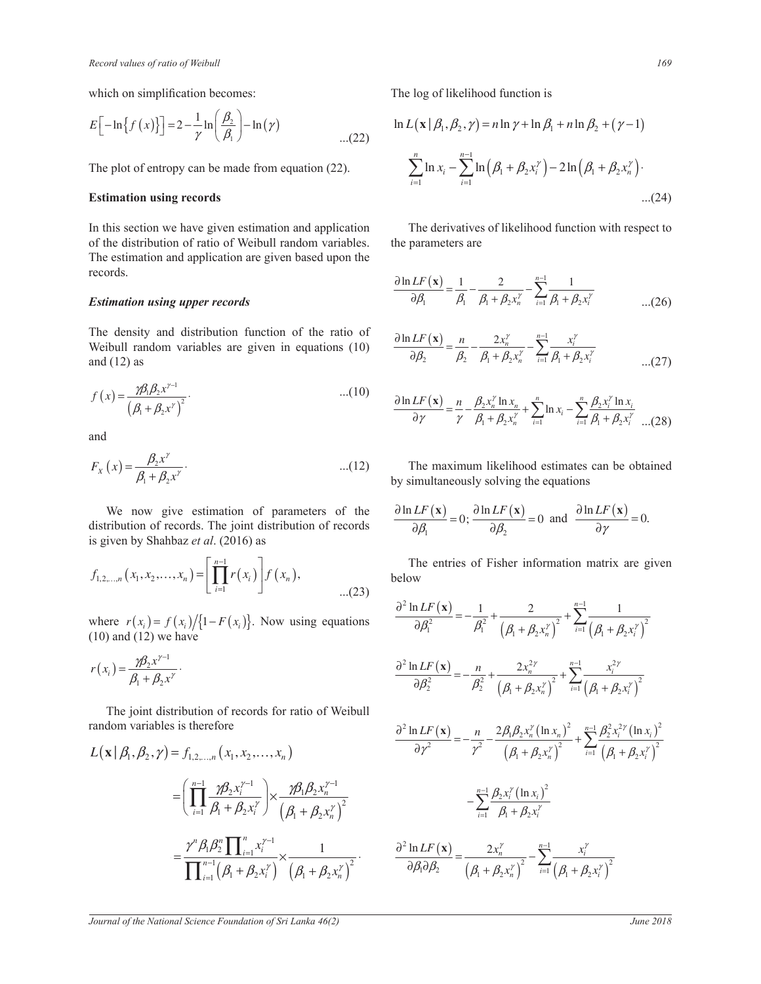which on simplification becomes:<br> $\begin{bmatrix} 5 & 0 & 0 \end{bmatrix}$ 

$$
E\Big[-\ln\big\{f\left(x\right)\big\}\Big]=2-\frac{1}{\gamma}\ln\Big(\frac{\beta_2}{\beta_1}\Big)-\ln\big(\gamma\big)\qquad\qquad\qquad...(22)
$$

### **Estimation using records**

In this section we have given estimation and application of the distribution of ratio of Weibull random variables. of the distribution of ratio of Weibull random variables.<br>The estimation and application are given based upon the records.

#### *Estimation using upper records*

The density and distribution function of the ratio of The density and distribution function of the ratio of  $\frac{\partial \ln L}{\partial x}$ and  $(12)$  as

$$
f(x) = \frac{\mathcal{B}_{1}\beta_{2}x^{\gamma-1}}{\left(\beta_{1} + \beta_{2}x^{\gamma}\right)^{2}}.
$$
...(10)  

$$
\frac{\partial \ln LF(x)}{\partial x} = \frac{n}{\gamma} - \frac{\beta_{2}x_{n}^{\gamma}}{\beta + \beta_{1}}
$$

and

$$
F_x(x) = \frac{\beta_2 x^{\gamma}}{\beta_1 + \beta_2 x^{\gamma}}
$$
...(12) The maximum likelihood estimates can be obtained  
by simultaneously solving the equations

is given by Shahbaz *et al.* (2016) as We now give estimation of parameters of the distribution of records. The joint distribution of records

$$
f_{1,2,...,n}(x_1, x_2,...,x_n) = \left[\prod_{i=1}^{n-1} r(x_i)\right] f(x_n),
$$
 The entries of Fisher information below ...(23)

where  $r(x_i) = f(x_i) / (1 - F(x_i))$ . Now using equations  $\overrightarrow{\partial \beta_i^2}$  $(10)$  and  $(12)$  we have

(16) and (12) we have  

$$
r(x_i) = \frac{\gamma \beta_2 x^{\gamma - 1}}{\beta_1 + \beta_2 x^{\gamma}}.
$$

 $\mathcal{L}(\mathcal{L})$  The joint distribution of records for ratio of Weibull random variables is therefore

$$
L(\mathbf{x} | \beta_1, \beta_2, \gamma) = f_{1,2,...,n} (x_1, x_2,...,x_n)
$$
\n
$$
= \left( \prod_{i=1}^{n-1} \frac{\gamma \beta_2 x_i^{\gamma-1}}{\beta_1 + \beta_2 x_i^{\gamma}} \right) \times \frac{\gamma \beta_1 \beta_2 x_n^{\gamma-1}}{\left(\beta_1 + \beta_2 x_n^{\gamma}\right)^2}
$$
\n
$$
= \frac{\gamma^n \beta_1 \beta_2^n \prod_{i=1}^n x_i^{\gamma-1}}{\prod_{i=1}^{n-1} (\beta_1 + \beta_2 x_i^{\gamma})} \times \frac{1}{\left(\beta_1 + \beta_2 x_n^{\gamma}\right)^2}
$$
\n
$$
= \frac{\partial^2 \ln L F(\mathbf{x})}{\partial \beta_1 \partial \beta_2} = \frac{2x_n^{\gamma}}{\left(\beta_1 + \beta_2 x_n^{\gamma}\right)^2} - \sum_{i=1}^{n-1} \frac{\beta_2 x_i^{\gamma} (\ln x_i)^2}{\left(\beta_1 + \beta_2 x_n^{\gamma}\right)^2}
$$

The log of likelihood function is

$$
E\left[-\ln\{f(x)\}\right] = 2 - \frac{1}{\gamma} \ln\left(\frac{\beta_2}{\beta_1}\right) - \ln(\gamma)
$$
\n
$$
\ln L(\mathbf{x} | \beta_1, \beta_2, \gamma) = n \ln \gamma + \ln \beta_1 + n \ln \beta_2 + (\gamma - 1)
$$
\n
$$
\therefore (22)
$$
\nThe plot of entropy can be made from equation (22).\n
$$
\sum_{i=1}^{n} \ln x_i - \sum_{i=1}^{n-1} \ln(\beta_1 + \beta_2 x_i^{\gamma}) - 2 \ln(\beta_1 + \beta_2 x_n^{\gamma})
$$
\n
$$
\therefore (24)
$$

The derivatives of likelihood function with respect to<br>the perspectors are the parameters are

$$
\frac{\partial \ln LF(\mathbf{x})}{\partial \beta_1} = \frac{1}{\beta_1} - \frac{2}{\beta_1 + \beta_2 x_n^{\gamma}} - \sum_{i=1}^{n-1} \frac{1}{\beta_1 + \beta_2 x_i^{\gamma}}
$$
...(26)

$$
\frac{\partial \ln LF(\mathbf{x})}{\partial \beta_2} = \frac{n}{\beta_2} - \frac{2x_n^{\gamma}}{\beta_1 + \beta_2 x_n^{\gamma}} - \sum_{i=1}^{n-1} \frac{x_i^{\gamma}}{\beta_1 + \beta_2 x_i^{\gamma}}
$$
...(27)

$$
\frac{\partial \ln LF(\mathbf{x})}{\partial \gamma} = \frac{n}{\gamma} - \frac{\beta_2 x_n^{\gamma} \ln x_n}{\beta_1 + \beta_2 x_n^{\gamma}} + \sum_{i=1}^n \ln x_i - \sum_{i=1}^n \frac{\beta_2 x_i^{\gamma} \ln x_i}{\beta_1 + \beta_2 x_i^{\gamma}} \quad ...(28)
$$

by simultaneously solving the equations

$$
\frac{\partial \ln LF(\mathbf{x})}{\partial \beta_1} = 0; \frac{\partial \ln LF(\mathbf{x})}{\partial \beta_2} = 0 \text{ and } \frac{\partial \ln LF(\mathbf{x})}{\partial \gamma} = 0.
$$

The entries of Fisher information matrix are given below

$$
\frac{\partial^2 \ln LF(\mathbf{x})}{\partial \beta_1^2} = -\frac{1}{\beta_1^2} + \frac{2}{(\beta_1 + \beta_2 x_n^{\gamma})^2} + \sum_{i=1}^{n-1} \frac{1}{(\beta_1 + \beta_2 x_i^{\gamma})^2}
$$
\n
$$
\frac{\partial^2 \ln LF(\mathbf{x})}{\partial \beta_2^2} = -\frac{n}{\beta_2^2} + \frac{2x_n^{2\gamma}}{(\beta_1 + \beta_2 x_n^{\gamma})^2} + \sum_{i=1}^{n-1} \frac{x_i^{2\gamma}}{(\beta_1 + \beta_2 x_i^{\gamma})^2}
$$
\nords for ratio of Weibull

\n
$$
\frac{\partial^2 \ln LF(\mathbf{x})}{\partial \gamma^2} = -\frac{n}{\gamma^2} - \frac{2\beta_1 \beta_2 x_n^{\gamma} (\ln x_n)^2}{(\beta_1 + \beta_2 x_n^{\gamma})^2} + \sum_{i=1}^{n-1} \frac{\beta_2^2 x_i^{2\gamma} (\ln x_i)^2}{(\beta_1 + \beta_2 x_i^{\gamma})^2}
$$
\n
$$
\frac{1}{(\beta_1 + \beta_2 x_n^{\gamma})^2} \times \frac{\frac{\gamma \beta_1 \beta_2 x_n^{\gamma - 1}}{(\beta_1 + \beta_2 x_n^{\gamma})^2}}{\frac{1}{(\beta_1 + \beta_2 x_n^{\gamma})^2}} - \sum_{i=1}^{n-1} \frac{\beta_2 x_i^{\gamma} (\ln x_i)^2}{\beta_1 + \beta_2 x_i^{\gamma}}
$$
\n
$$
\frac{1}{(\beta_1 + \beta_2 x_i^{\gamma})^2} \times \frac{1}{(\beta_1 + \beta_2 x_n^{\gamma})^2} - \frac{\frac{\partial^2 \ln LF(\mathbf{x})}{\partial \beta_1 \partial \beta_2}}{\frac{\partial \beta_1 \partial \beta_2}}{\frac{\partial \beta_1 \partial \beta_2}}{\frac{\gamma \beta_1 \beta_2 x_n^{\gamma}}{\frac{\gamma \beta_1 \beta_2 x_n^{\gamma}}{\frac{\gamma \beta_1 \beta_2 x_n^{\gamma}}{\frac{\gamma \beta_1 \beta_2 x_n^{\gamma}}{\frac{\gamma \beta_1 \beta_2 x_n^{\gamma}}{\frac{\gamma \beta_1 \beta_2 x_n^{\gamma}}{\frac{\gamma \beta_1 \beta_2 x_n^{\gamma}}{\frac
$$

*i i x x x x* ¦

 $\overline{\phantom{0}}$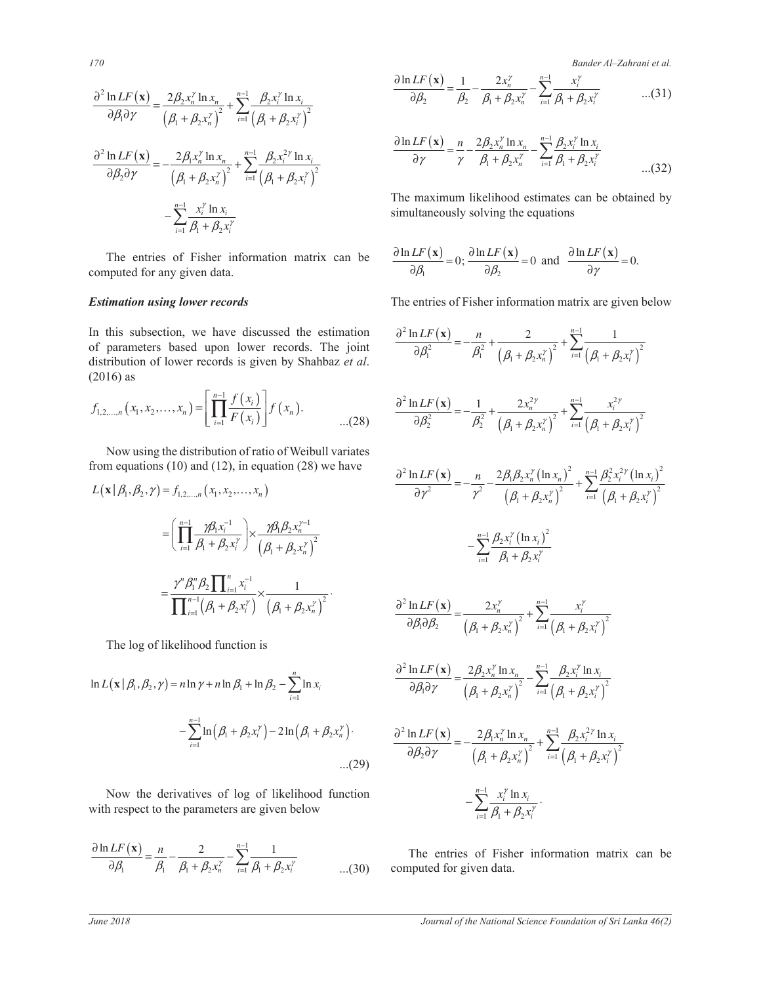*170 Bander Al–Zahrani et al.*

$$
\frac{\partial^2 \ln LF(\mathbf{x})}{\partial \beta_i \partial \gamma} = \frac{2\beta_2 x_n^{\gamma} \ln x_n}{(\beta_1 + \beta_2 x_n^{\gamma})^2} + \sum_{i=1}^{n-1} \frac{\beta_2 x_i^{\gamma} \ln x_i}{(\beta_1 + \beta_2 x_i^{\gamma})^2}
$$

$$
\frac{\partial^2 \ln LF(\mathbf{x})}{\partial \beta_2 \partial \gamma} = -\frac{2\beta_1 x_n^{\gamma} \ln x_n}{(\beta_1 + \beta_2 x_n^{\gamma})^2} + \sum_{i=1}^{n-1} \frac{\beta_2 x_i^{2\gamma} \ln x_i}{(\beta_1 + \beta_2 x_i^{\gamma})^2}
$$

$$
-\sum_{i=1}^{n-1} \frac{x_i^{\gamma} \ln x_i}{\beta_1 + \beta_2 x_i^{\gamma}}
$$

 The entries of Fisher information matrix can be computed for any given data.

## *Estimation using lower records*

distribution of lower records is given by Shahbaz et al.<br><sup>(2016</sup>)</sub>  $(6)$  as  $(6)$  as In this subsection, we have discussed the estimation of parameters based upon lower records. The joint (2016) as

$$
f_{1,2,...,n}(x_1,x_2,...,x_n) = \left[ \prod_{i=1}^{n-1} \frac{f(x_i)}{F(x_i)} \right] f(x_n).
$$
\n...(28) 
$$
\frac{\partial^2 \ln L F(\mathbf{x})}{\partial \beta_2^2} = -\frac{1}{\beta_2^2} + \frac{2x_n^{2\gamma}}{(\beta_1 + \beta_2 x_n^{\gamma})^2} + \cdots
$$

Now using the distribution of ratio of Weibull variates from equations  $(10)$  and  $(12)$ , in equation  $(28)$  we have nom equa

$$
L(\mathbf{x} | \beta_1, \beta_2, \gamma) = f_{1,2,...,n} (x_1, x_2,...,x_n)
$$
  
\n
$$
= \left( \prod_{i=1}^{n-1} \frac{\gamma \beta_1 x_i^{-1}}{\beta_1 + \beta_2 x_i^{\gamma}} \right) \times \frac{\gamma \beta_1 \beta_2 x_i^{\gamma-1}}{\left( \beta_1 + \beta_2 x_n^{\gamma} \right)^2}
$$
  
\n
$$
= \frac{\gamma^n \beta_1^n \beta_2 \prod_{i=1}^n x_i^{-1}}{\prod_{i=1}^{n-1} (\beta_1 + \beta_2 x_i^{\gamma})} \times \frac{1}{\left( \beta_1 + \beta_2 x_n^{\gamma} \right)^2}.
$$
  
\n
$$
\frac{\partial^2 \ln LF(\mathbf{x})}{\partial \beta_1 \partial \beta_2} = \frac{n}{\gamma^2}.
$$
  
\n
$$
= \frac{\gamma^n \beta_1^n \beta_2 \prod_{i=1}^n x_i^{-1}}{\gamma_i} \times \frac{1}{\left( \beta_1 + \beta_2 x_i^{\gamma} \right)^2}.
$$
  
\n
$$
\frac{\partial^2 \ln LF(\mathbf{x})}{\partial \beta_1 \partial \beta_2 \partial \beta_3} = \frac{2n}{\gamma^2}.
$$

The log of likelihood function is

$$
\ln L(\mathbf{x} | \beta_1, \beta_2, \gamma) = n \ln \gamma + n \ln \beta_1 + \ln \beta_2 - \sum_{i=1}^n \ln x_i
$$
\n
$$
- \sum_{i=1}^{n-1} \ln (\beta_1 + \beta_2 x_i^{\gamma}) - 2 \ln (\beta_1 + \beta_2 x_n^{\gamma})
$$
\n
$$
\frac{\partial^2 \ln LF(\mathbf{x})}{\partial \beta_1 \partial \gamma} = \frac{2 \beta_2 x_n^{\gamma}}{(\beta_1 + \beta_2 x_n^{\gamma})}
$$
\n
$$
\frac{\partial^2 \ln LF(\mathbf{x})}{\partial \beta_2 \partial \gamma} = -\frac{2 \beta_1 x_n^{\gamma}}{(\beta_1 + \beta_2 x_n^{\gamma})}
$$
\n
$$
\frac{\partial^2 \ln LF(\mathbf{x})}{\partial \beta_2 \partial \gamma} = -\frac{2 \beta_1 x_n^{\gamma}}{(\beta_1 + \beta_2 x_n^{\gamma})}
$$

with respect to the parameters are given below Now the derivatives of log of likelihood function  $\int_{-\infty}^{n-1} x_i^{\gamma} \ln x_i$ 

$$
\frac{\partial \ln LF(\mathbf{x})}{\partial \beta_1} = \frac{n}{\beta_1} - \frac{2}{\beta_1 + \beta_2 x_n^{\gamma}} - \sum_{i=1}^{n-1} \frac{1}{\beta_1 + \beta_2 x_i^{\gamma}}
$$
...(30)

*n i x x* ¦

$$
\frac{\partial \ln LF(\mathbf{x})}{\partial \beta_2} = \frac{1}{\beta_2} - \frac{2x_n^{\gamma}}{\beta_1 + \beta_2 x_n^{\gamma}} - \sum_{i=1}^{n-1} \frac{x_i^{\gamma}}{\beta_1 + \beta_2 x_i^{\gamma}} \qquad ...(31)
$$

$$
\frac{\partial \ln LF(\mathbf{x})}{\partial \gamma} = \frac{n}{\gamma} - \frac{2\beta_2 x_n^{\gamma} \ln x_n}{\beta_1 + \beta_2 x_n^{\gamma}} - \sum_{i=1}^{n-1} \frac{\beta_2 x_i^{\gamma} \ln x_i}{\beta_1 + \beta_2 x_i^{\gamma}}
$$
...(32)

neously solving the eq Fire maximum intermood estimates<br>simultaneously solving the equations The maximum likelihood estimates can be obtained by ¦ ¦ ¦

$$
\frac{\partial \ln LF(\mathbf{x})}{\partial \beta_1} = 0; \frac{\partial \ln LF(\mathbf{x})}{\partial \beta_2} = 0 \text{ and } \frac{\partial \ln LF(\mathbf{x})}{\partial \gamma} = 0.
$$

The entries of Fisher information matrix are given below

estimation  
\nThe joint  
\n
$$
\frac{\partial^2 \ln LF(\mathbf{x})}{\partial \beta_1^2} = -\frac{n}{\beta_1^2} + \frac{2}{(\beta_1 + \beta_2 x'_n)^2} + \sum_{i=1}^{n-1} \frac{1}{(\beta_1 + \beta_2 x'_i)^2}
$$
\n...(28)  
\n
$$
\frac{\partial^2 \ln LF(\mathbf{x})}{\partial \beta_2^2} = -\frac{1}{\beta_2^2} + \frac{2x_n^{2\gamma}}{(\beta_1 + \beta_2 x'_n)^2} + \sum_{i=1}^{n-1} \frac{x_i^{2\gamma}}{(\beta_1 + \beta_2 x'_i)^2}
$$
\nall variates  
\nwe have  
\n
$$
\frac{\partial^2 \ln LF(\mathbf{x})}{\partial \gamma^2} = -\frac{n}{\gamma^2} - \frac{2\beta_1 \beta_2 x''_n (\ln x_n)^2}{(\beta_1 + \beta_2 x'_n)^2} + \sum_{i=1}^{n-1} \frac{\beta_2^2 x_i^{2\gamma} (\ln x_i)^2}{(\beta_1 + \beta_2 x'_i)^2}
$$
\n
$$
-\sum_{i=1}^{n-1} \frac{\beta_2 x_i^{\gamma} (\ln x_i)^2}{\beta_1 + \beta_2 x'_i}
$$
\n
$$
\frac{\partial^2 \ln LF(\mathbf{x})}{\partial \beta_1 \partial \beta_2} = \frac{2x_n^{\gamma}}{(\beta_1 + \beta_2 x'_n)^2} + \sum_{i=1}^{n-1} \frac{x_i^{\gamma}}{(\beta_1 + \beta_2 x'_i)^2}
$$
\n
$$
\frac{\partial^2 \ln LF(\mathbf{x})}{\partial \beta_1 \partial \gamma} = \frac{2\beta_2 x''_n \ln x_n}{(\beta_1 + \beta_2 x'_n)^2} - \sum_{i=1}^{n-1} \frac{\beta_2 x_i^{\gamma} \ln x_i}{(\beta_1 + \beta_2 x'_i)^2}
$$
\n
$$
\frac{\partial^2 \ln LF(\mathbf{x})}{\partial \beta_2 \partial \gamma} = -\frac{2\beta_1 x''_n \ln x_n}{(\beta_1 + \beta_2 x'_n)^2} + \sum_{i=1}^{n-1} \frac{\beta_2 x_i^{2\gamma} \ln x_i}{(\beta_1 + \beta_2 x'_i)^2}
$$
\n(29)

tion 
$$
- \sum_{i=1}^{n-1} \frac{x_i^{\gamma} \ln x_i}{\beta_1 + \beta_2 x_i^{\gamma}}.
$$

The entries of Fisher information matrix can be computed for given data.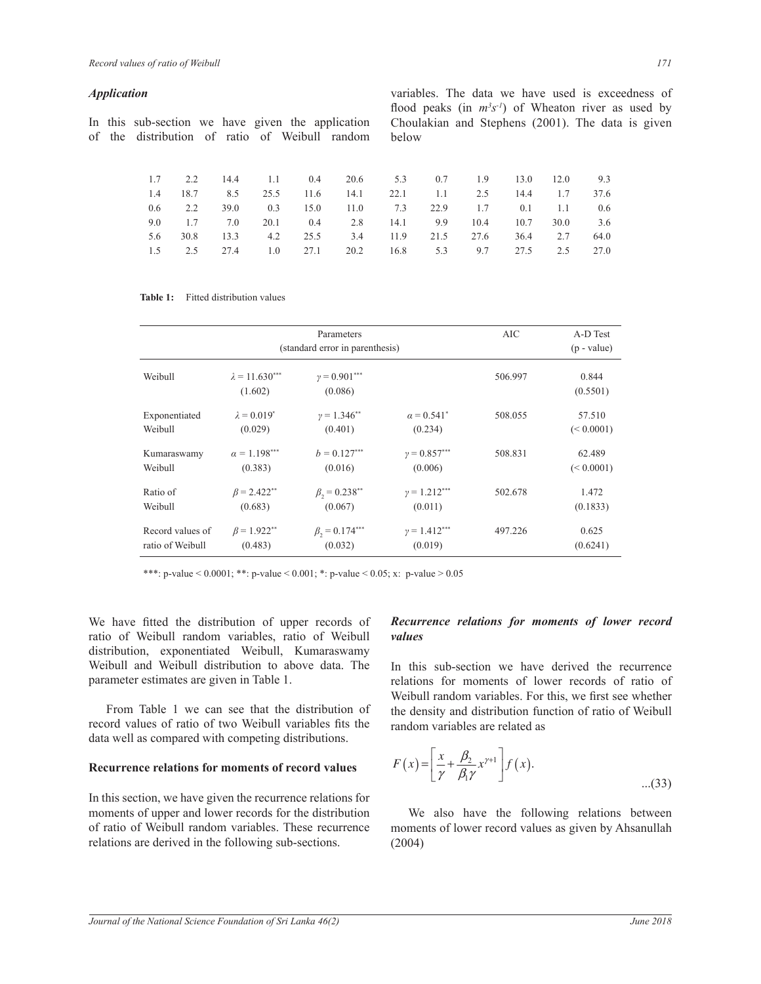#### *Application*

In this sub-section we have given the application of the distribution of ratio of Weibull random variables. The data we have used is exceedness of flood peaks (in  $m^3s^{-1}$ ) of Wheaton river as used by Choulakian and Stephens (2001). The data is given below

|  |  | 1.7 2.2 14.4 1.1 0.4 20.6 5.3 0.7 1.9 13.0 12.0 9.3        |  |  |      |
|--|--|------------------------------------------------------------|--|--|------|
|  |  | 1.4 18.7 8.5 25.5 11.6 14.1 22.1 1.1 2.5 14.4 1.7          |  |  | 37.6 |
|  |  | 0.6 2.2 39.0 0.3 15.0 11.0 7.3 22.9 1.7 0.1 1.1 0.6        |  |  |      |
|  |  | 9.0 1.7 7.0 20.1 0.4 2.8 14.1 9.9 10.4 10.7 30.0 3.6       |  |  |      |
|  |  | 5.6 30.8 13.3 4.2 25.5 3.4 11.9 21.5 27.6 36.4 2.7 64.0    |  |  |      |
|  |  | 1.5 2.5 2.7.4 1.0 2.71 2.0.2 1.6.8 5.3 9.7 2.7.5 2.5 2.7.0 |  |  |      |
|  |  |                                                            |  |  |      |

Table 1: Fitted distribution values

|                  |                                  | Parameters<br>(standard error in parenthesis) |                        | <b>AIC</b> | A-D Test<br>$(p - value)$ |
|------------------|----------------------------------|-----------------------------------------------|------------------------|------------|---------------------------|
| Weibull          | $\lambda = 11.630***$<br>(1.602) | $v = 0.901***$<br>(0.086)                     |                        | 506.997    | 0.844<br>(0.5501)         |
| Exponentiated    | $\lambda = 0.019^*$              | $\nu = 1.346^{**}$                            | $\alpha = 0.541^*$     | 508.055    | 57.510                    |
| Weibull          | (0.029)                          | (0.401)                                       | (0.234)                |            | (< 0.0001)                |
| Kumaraswamy      | $\alpha = 1.198***$              | $b = 0.127***$                                | $y = 0.857***$         | 508.831    | 62.489                    |
| Weibull          | (0.383)                          | (0.016)                                       | (0.006)                |            | (< 0.0001)                |
| Ratio of         | $\beta$ = 2.422**                | $\beta_{2} = 0.238^{**}$                      | $\gamma = 1.212***$    | 502.678    | 1.472                     |
| Weibull          | (0.683)                          | (0.067)                                       | (0.011)                |            | (0.1833)                  |
| Record values of | $\beta$ = 1.922**                | $\beta_{2} = 0.174***$                        | $\gamma = 1.412^{***}$ | 497.226    | 0.625                     |
| ratio of Weibull | (0.483)                          | (0.032)                                       | (0.019)                |            | (0.6241)                  |

\*\*\*: p-value <  $0.0001$ ; \*\*: p-value <  $0.001$ ; \*: p-value <  $0.05$ ; x: p-value >  $0.05$ 

We have fitted the distribution of upper records of ratio of Weibull random variables, ratio of Weibull distribution, exponentiated Weibull, Kumaraswamy Weibull and Weibull distribution to above data. The parameter estimates are given in Table 1.

From Table 1 we can see that the distribution of record values of ratio of two Weibull variables fits the data well as compared with competing distributions.

## **Recurrence relations for moments of record values**

In this section, we have given the recurrence relations for moments of upper and lower records for the distribution of ratio of Weibull random variables. These recurrence relations are derived in the following sub-sections.

## *Recurrence relations for moments of lower record values*

In this sub-section we have derived the recurrence relations for moments of lower records of ratio of Weibull random variables. For this, we first see whether the density and distribution function of ratio of Weibull random variables are related as

$$
F(x) = \left[\frac{x}{\gamma} + \frac{\beta_2}{\beta_1 \gamma} x^{\gamma + 1}\right] f(x).
$$
...(33)

We also have the following relations between moments of lower record values as given by Ahsanullah (2004)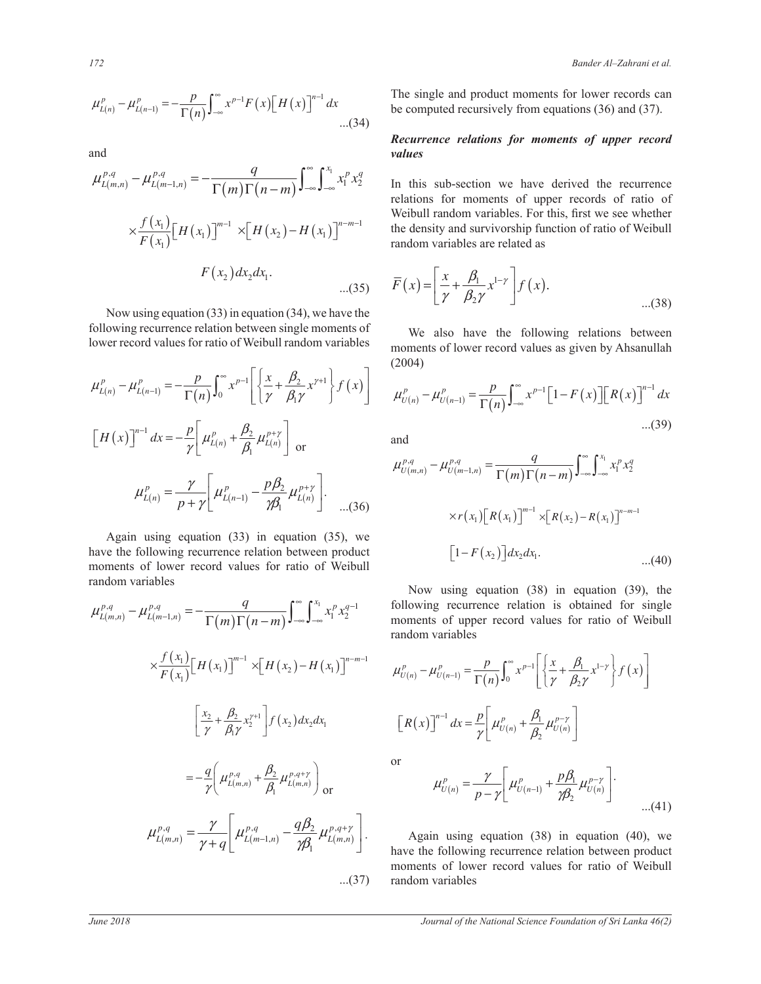$$
\mu_{L(n)}^p - \mu_{L(n-1)}^p = -\frac{p}{\Gamma(n)} \int_{-\infty}^{\infty} x^{p-1} F(x) \Big[ H(x) \Big]^{n-1} dx
$$
...(34)

and  $\frac{1}{2}$  and

$$
\mu_{L(m,n)}^{p,q} - \mu_{L(m-1,n)}^{p,q} = -\frac{q}{\Gamma(m)\Gamma(n-m)} \int_{-\infty}^{\infty} \int_{-\infty}^{x_1} x_1^p x_2^q
$$
 In this sub-section we have derived the recurrence relations for moments of upper records of ratio of Weibull random variables. For this, first we see whether the density and surviving function of ratio of Weibull random variables are related as\n
$$
F(x_1) = \begin{bmatrix} F(x_1) \end{bmatrix} \begin{bmatrix} H(x_1) \end{bmatrix}^{m-1} \times \left[ H(x_2) - H(x_1) \right]^{n-m-1}
$$

 $\frac{1}{2}$  of a start and  $\frac{1}{2}$  of  $\frac{1}{2}$  and  $\frac{1}{2}$  of Weihall random variables<br>lower record values for ratio of Weihull random variables moments of lower record value Now using equation (33) in equation (34), we have the lower record values for ratio of Weibull random variables  $\frac{1}{2}$  and  $\frac{1}{2}$  of  $\frac{1}{2}$  we have the een single moments of<br>bull random variables

ª º « » ¬ ¼ × ª º ¬ ¼ ³ ³ ª º « » ¬ ¼ ª º ½ ª º «® ¾ »ª º ¬ ¼ « » « » ¬ ¼ ¯ ¿ ¬ ¼ <sup>³</sup> ª º « » ¬ ¼ ª º ½ ª º «® ¾ »ª º ¬ ¼ « » « » ¬ ¼ ¯ ¿ ¬ ¼ <sup>³</sup> ª º « » ¬ ¼ ( ) ( ) ( ) ( ) ( ) 1 1 <sup>2</sup> 1 0 1 *p p p L n L n p x x x f x H x dx n* <sup>β</sup> <sup>γ</sup> <sup>µ</sup> <sup>µ</sup> <sup>γ</sup> β <sup>γ</sup> ∞ − + − ª º ½ ª º − = − + «® ¾ »ª º ¬ ¼ « » <sup>Γ</sup> « » ¬ ¼ ¯ ¿ ¬ ¼ ³ ª º « » ¬ ¼ ( ) ( ) ( ) ( ) 1 2 1 *n p p L n L n p x f x H x dx* <sup>β</sup> <sup>γ</sup> <sup>µ</sup> <sup>µ</sup> <sup>γ</sup> β − + ª º ½ ª º «® ¾ »ª º ¬ ¼ = − + « » « » ¬ ¼ ¯ ¿ ¬ ¼ or ª º ½ ª º «® ¾ »ª º ¬ ¼ « » « » ¬ ¼ ¯ ¿ ¬ ¼ <sup>³</sup> ( ) ( ) ( ) 2 1 1 *p p p L n L n L n p p* <sup>γ</sup> <sup>β</sup> <sup>γ</sup> <sup>µ</sup> <sup>µ</sup> <sup>µ</sup> <sup>γ</sup> γβ + − ª º = − « » <sup>+</sup> ¬ ¼ . ...(36) ª º ½ ª º «® ¾ »ª º ¬ ¼ « » « » ¬ ¼ ¯ ¿ ¬ ¼ <sup>³</sup> ª º « » ¬ ¼ ª º ½ ª º «® ¾ »ª º ¬ ¼ « » « » ¬ ¼ ¯ ¿ ¬ ¼ <sup>³</sup> ª º « » ¬ ¼ ª º ¬ ¼ ª º ¬ ¼ ³ ³ ª º ¬ ¼ ³ ³ ª º ¬ ¼ ª º ª º ³ ¬ ¼ ¬ ¼ ª º « » ¬ ¼ ª º ª º ³ ¬ ¼ ¬ ¼

Again using equation (33) in equation (35), we<br>have the following recurrence relation between product  $\left[1 - F(x_2)\right]$  $\frac{a}{a}$ ª º ª º ¬ ¼ « » ¬ ¼  $\lim_{n \to \infty}$ have the following recurrence relation between product<br>moments of lower record values for ratio of Weibull<br>random variables random variables  $\mathbb{R}^n$   $\mathbb{R}^n$ 

$$
\mu_{L(m,n)}^{p,q} - \mu_{L(m-1,n)}^{p,q} = -\frac{q}{\Gamma(m)\Gamma(n-m)} \int_{-\infty}^{\infty} \int_{-\infty}^{x_1} x_1^p x_2^{q-1}
$$
 follows us  
\n
$$
\times \frac{f(x_1)}{F(x_1)} [H(x_1)]^{m-1} \times [H(x_2) - H(x_1)]^{n-m-1}
$$
  $\mu_{U(n)}^p - \mu_{U(n)}^p$   
\n
$$
\left[ \frac{x_2}{\gamma} + \frac{\beta_2}{\beta_1 \gamma} x_2^{\gamma+1} \right] f(x_2) dx_2 dx_1
$$
  $[R(x)]^{n-1}$   
\n
$$
= -\frac{q}{\gamma} \left( \mu_{L(m,n)}^{p,q} + \frac{\beta_2}{\beta_1} \mu_{L(m,n)}^{p,q+\gamma} \right) \text{ or}
$$
  $\mu_{U(n)}^p$   
\n
$$
\mu_{L(m,n)}^{p,q} = \frac{\gamma}{\gamma+q} \left[ \mu_{L(m-1,n)}^{p,q} - \frac{q\beta_2}{\gamma \beta_1} \mu_{L(m,n)}^{p,q+\gamma} \right].
$$
 Again u  
\nhave the following  
\nmoments of  
\n... (37) random vari

 (34) be computed recursively from equations (36) and (37). The single and product moments for lower records can

## *Recurrence relations for moments of upper record values*

 $\frac{1}{2}$  and this sub-section we have derived the recurrence relations for moments of upper records of ratio of  $H(x_2) - H(x_1)$ <sup>n-m-1</sup> the density and survivorship function of ratio of Weibull random variables are related as the density and survivorship to<br>random variables are related as Weibull random variables. For this, first we see whether

$$
\overline{F}(x) = \left[\frac{x}{\gamma} + \frac{\beta_1}{\beta_2 \gamma} x^{1-\gamma}\right] f(x).
$$
...(38)

It is not verified to the single moments of we also have the following relations<br>of Weibull random variables moments of lower record values as given by Ab (2004) We also have the following relations between we also have the following relations between<br>moments of lower record values as given by Ahsanullah (2004)

$$
\mu_{U(n)}^p - \mu_{U(n-1)}^p = \frac{p}{\Gamma(n)} \int_{-\infty}^{\infty} x^{p-1} \Big[ 1 - F(x) \Big] \Big[ R(x) \Big]^{n-1} dx
$$
...(39)

and and  $\overline{a}$ 

$$
\mu_{L(n)}^p = \frac{\gamma}{p+\gamma} \left[ \mu_{L(n-1)}^p - \frac{p\beta_2}{\gamma \beta_1} \mu_{L(n)}^{p+ \gamma} \right].
$$
\nAgain using equation (33) in equation (35), we have the following recurrence relation between product moments of lower record values for ratio of Weibull

\n
$$
\mu_{L(n)}^p = \frac{\gamma}{p+\gamma} \left[ \mu_{L(n-1)}^p - \frac{p\beta_2}{\gamma \beta_1} \mu_{L(n)}^{p+ \gamma} \right].
$$
\n
$$
\mu_{L(n)}^{p,q} = \frac{q}{\Gamma(m)\Gamma(n-m)} \int_{-\infty}^{\infty} \int_{-\infty}^{x_1} x_1^p x_2^q
$$
\n
$$
\mu_{L(n)}^{p,q} = \frac{q}{\Gamma(m)\Gamma(n-m)} \int_{-\infty}^{\infty} \int_{-\infty}^{x_1} x_1^p x_2^q
$$
\n
$$
\mu_{L(n)}^p = \frac{\gamma}{p+\gamma} \left[ \mu_{L(n-1)}^p - \frac{p\beta_2}{\gamma \beta_1} \mu_{L(n)}^{p+ \gamma} \right].
$$
\nAgain using equation (33) in equation (35), we have the following recurrence relation between product 
$$
\left[1 - F(x_2) \right] dx_2 dx_1.
$$
\n1. (40)

upper record values for ratio of Weibull<br>bles  $x_1^p x_2^{q-1}$  following recurrence relation is obtained for single<br>moments of upper record values for ratio of Weibull<br>mondown variables moments of upp<br>random variables following recurrence relation is obtained for single moments of upper record values for ratio of Weibull Now using equation  $(38)$  in equation  $(39)$ , the

$$
\begin{aligned}\n &\text{Equation variables} \\
 &\times \left[ H(x_2) - H(x_1) \right]^{n-m-1} \\
 &\quad \mu_{U(n)}^p - \mu_{U(n-1)}^p = \frac{p}{\Gamma(n)} \int_0^\infty x^{p-1} \left[ \left\{ \frac{x}{\gamma} + \frac{\beta_1}{\beta_2 \gamma} x^{1-\gamma} \right\} f(x) \right] \\
 &\quad \left[ R(x) \right]^{n-1} dx = \frac{p}{\gamma} \left[ \mu_{U(n)}^p + \frac{\beta_1}{\beta_2} \mu_{U(n)}^{p-\gamma} \right]\n \end{aligned}
$$

or

$$
\mu_{U(n)}^p = \frac{\gamma}{p - \gamma} \left[ \mu_{U(n-1)}^p + \frac{p\beta_1}{\gamma \beta_2} \mu_{U(n)}^{p - \gamma} \right].
$$

random variables  $=\frac{I}{\gamma+q}\left[\mu_{L(m-1,n)}^{p,q}-\frac{qp_2}{\gamma\beta_1}\mu_{L(m,n)}^{p,q+\gamma}\right]$ . Again using equation (38) in equation (40), we have the following recurrence relation between product have the following recurrence relation between product moments of lower record values for ratio of Weibull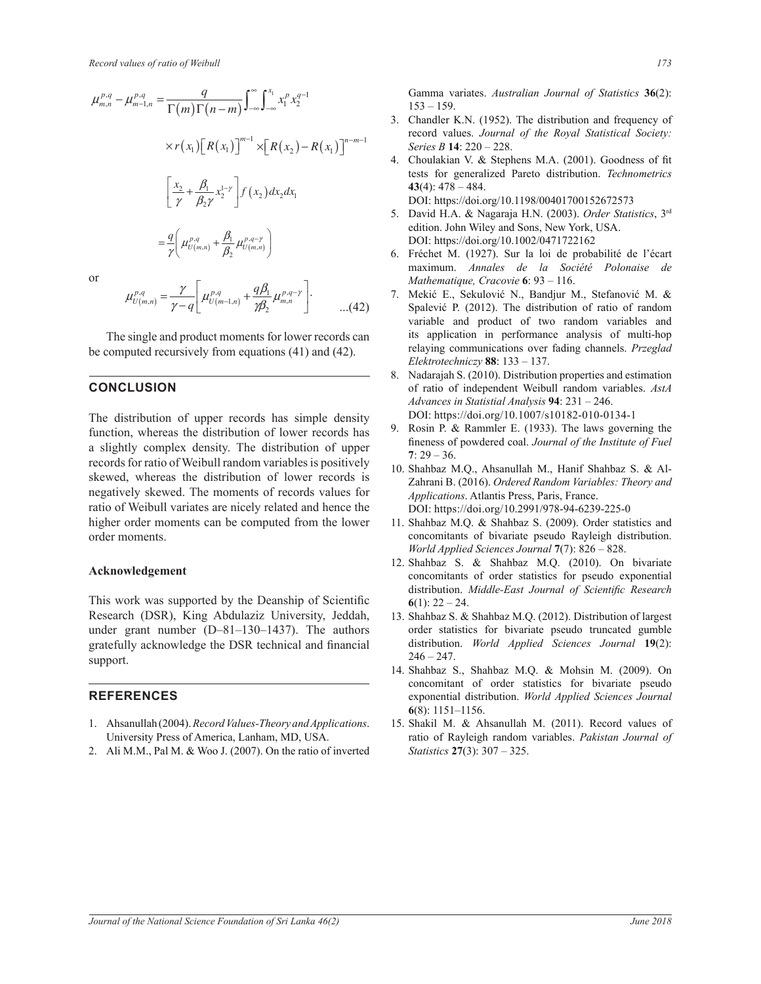$$
\mu_{m,n}^{p,q} - \mu_{m-1,n}^{p,q} = \frac{q}{\Gamma(m)\Gamma(n-m)} \int_{-\infty}^{\infty} \int_{-\infty}^{x_1} x_1^p x_2^{q-1}
$$
\nGamma  
\n
$$
\times r(x_1) [R(x_1)]^{m-1} \times [R(x_2) - R(x_1)]^{n-m-1}
$$
\n3. Chandle record  
\n
$$
\left[ \frac{x_2}{\gamma} + \frac{\beta_1}{\beta_2 \gamma} x_2^{1-\gamma} \right] f(x_2) dx_2 dx_1
$$
\n5. David F  
\n
$$
= \frac{q}{\gamma} \left( \mu_{U(m,n)}^{p,q} + \frac{\beta_1}{\beta_2} \mu_{U(m,n)}^{p,q-\gamma} \right)
$$
\n
$$
= \frac{q}{\gamma} \left( \mu_{U(m,n)}^{p,q} + \frac{\beta_1}{\beta_2} \mu_{U(m,n)}^{p,q-\gamma} \right)
$$
\n
$$
= \frac{q}{\gamma} \left( \mu_{U(m,n)}^{p,q} + \frac{\beta_1}{\beta_2} \mu_{U(m,n)}^{p,q-\gamma} \right)
$$
\n
$$
= \frac{q}{\gamma} \left( \mu_{U(m,n)}^{p,q} + \frac{\beta_1}{\beta_2} \mu_{U(m,n)}^{p,q-\gamma} \right)
$$
\nof the maximum maximum maximum maximum maximum interval in the interval  $\gamma$  and  $\gamma$  is given by the formula  $\gamma$ .

or

or  

$$
\mu_{U(m,n)}^{p,q} = \frac{\gamma}{\gamma - q} \left[ \mu_{U(m-1,n)}^{p,q} + \frac{q\beta_1}{\gamma \beta_2} \mu_{m,n}^{p,q-\gamma} \right].
$$
...(42)

The single and product moments for lower records can be computed recursively from equations (41) and (42).

## **CONCLUSION**

The distribution of upper records has simple density function, whereas the distribution of lower records has a slightly complex density. The distribution of upper records for ratio of Weibull random variables is positively skewed, whereas the distribution of lower records is negatively skewed. The moments of records values for ratio of Weibull variates are nicely related and hence the higher order moments can be computed from the lower order moments.

#### **Acknowledgement**

This work was supported by the Deanship of Scientific Research (DSR), King Abdulaziz University, Jeddah, under grant number  $(D-81-130-1437)$ . The authors gratefully acknowledge the DSR technical and financial support.

#### **REFERENCES**

- University Press of America, Lanham, MD, USA. 1. Ahsanullah (2004). *Record Values-Theory and Applications*.
- of Ali M.M., Pal M. & Woo J. (2007). On the ratio of inverted 2. Ali M.M., Pal M. & Woo J. (2007). On the ratio of inverted

Gamma variates. Australian Journal of Statistics 36(2):  $153 - 159$ .

- $153 159$ .<br>3. Chandler K.N. (1952). The distribution and frequency of record values. *Journal of the Royal Statistical Society: Series B* 14: 220 - 228.
- 4. Choulakian V. & Stephens M.A. (2001). Goodness of fit tests for generalized Pareto distribution *Technometrics* tests for generalized Pareto distribution. Technometrics  $43(4): 478 - 484.$ DOI: https://doi.org/10.1198/00401700152672573
	- 5. David H.A. & Nagaraja H.N. (2003). Order Statistics, 3rd edition. John Wiley and Sons, New York, USA. DOI: https://doi.org/10.1002/0471722162
	- 6. Fréchet M. (1927). Sur la loi de probabilité de l'écart maximum. *Annales de la Société Polonaise de Mathematique, Cracovie* 6: 93 - 116.
- 7. Mekić E., Sekulović N., Bandjur M., Stefanović M. & Spalević P. (2012). The distribution of ratio of random variable and product of two random variables and its application in performance analysis of multi-hop relaying communications over fading channels. *Przeglad Elektrotechniczy* **88**: 133±137.
	- 8. Nadarajah S. (2010). Distribution properties and estimation of ratio of independent Weibull random variables. *AstA*  Advances in Statistial Analysis 94: 231 - 246. DOI: https://doi.org/10.1007/s10182-010-0134-1
	- 9. Rosin P.  $&$  Rammler E. (1933). The laws governing the fineness of powdered coal. Journal of the Institute of Fuel  $7:29-36.$
	- 10. Shahbaz M.Q., Ahsanullah M., Hanif Shahbaz S. & Al-Zahrani B. (2016). Ordered Random Variables: Theory and *Applications*. Atlantis Press. Paris. France. DOI: https://doi.org/10.2991/978-94-6239-225-0
	- 11. Shahbaz M.Q. & Shahbaz S. (2009). Order statistics and concomitants of bivariate pseudo Rayleigh distribution. *World Applied Sciences Journal*  $7(7)$ : 826 - 828.
	- 12. Shahbaz S. & Shahbaz M.Q. (2010). On bivariate concomitants of order statistics for pseudo exponential distribution. *Middle-East Journal of Scientific Research*  $6(1)$ : 22 - 24.
	- 13. Shahbaz S. & Shahbaz M.Q. (2012). Distribution of largest order statistics for bivariate pseudo truncated gumble distribution. *World Applied Sciences Journal* **19**(2):  $246 - 247$ .
	- 14. Shahbaz S., Shahbaz M.Q. & Mohsin M. (2009). On concomitant of order statistics for bivariate pseudo exponential distribution. *World Applied Sciences Journal*  $6(8): 1151 - 1156.$
	- ratio of Rayleigh random variables. Pakistan Journal of 15. Shakil M. & Ahsanullah M. (2011). Record values of *Statistics* 27(3): 307 - 325.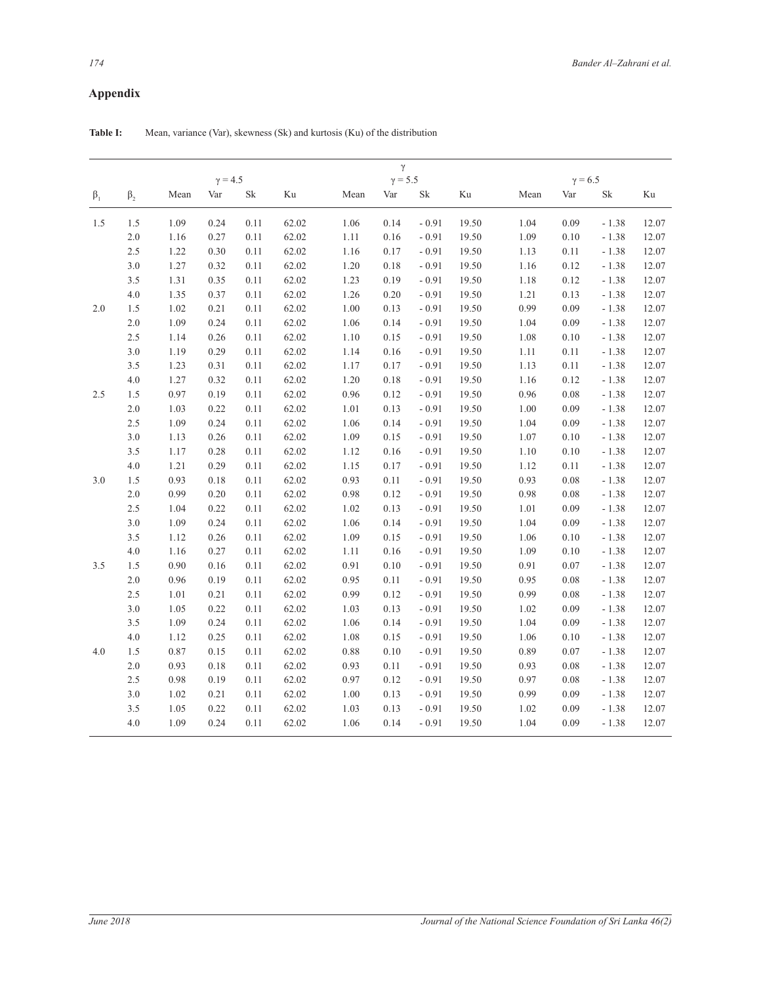## $\bf Appendix$

|             |           |      |                |                     |       |          | $\gamma$       |          |          |      |                |          |       |
|-------------|-----------|------|----------------|---------------------|-------|----------|----------------|----------|----------|------|----------------|----------|-------|
|             |           |      | $\gamma = 4.5$ |                     |       |          | $\gamma = 5.5$ |          |          |      | $\gamma = 6.5$ |          |       |
| $\beta_{1}$ | $\beta_2$ | Mean | Var            | $\operatorname{Sk}$ | Ku    | Mean     | Var            | $\rm Sk$ | $\rm Ku$ | Mean | Var            | $\rm Sk$ | Ku    |
| 1.5         | 1.5       | 1.09 | 0.24           | 0.11                | 62.02 | 1.06     | 0.14           | $-0.91$  | 19.50    | 1.04 | 0.09           | $-1.38$  | 12.07 |
|             | $2.0\,$   | 1.16 | 0.27           | 0.11                | 62.02 | 1.11     | 0.16           | $-0.91$  | 19.50    | 1.09 | 0.10           | $-1.38$  | 12.07 |
|             | 2.5       | 1.22 | 0.30           | 0.11                | 62.02 | 1.16     | 0.17           | $-0.91$  | 19.50    | 1.13 | 0.11           | $-1.38$  | 12.07 |
|             | $3.0\,$   | 1.27 | 0.32           | 0.11                | 62.02 | 1.20     | 0.18           | $-0.91$  | 19.50    | 1.16 | 0.12           | $-1.38$  | 12.07 |
|             | 3.5       | 1.31 | 0.35           | 0.11                | 62.02 | 1.23     | 0.19           | $-0.91$  | 19.50    | 1.18 | 0.12           | $-1.38$  | 12.07 |
|             | 4.0       | 1.35 | 0.37           | 0.11                | 62.02 | 1.26     | $0.20\,$       | $-0.91$  | 19.50    | 1.21 | 0.13           | $-1.38$  | 12.07 |
| 2.0         | 1.5       | 1.02 | 0.21           | 0.11                | 62.02 | 1.00     | 0.13           | $-0.91$  | 19.50    | 0.99 | 0.09           | $-1.38$  | 12.07 |
|             | 2.0       | 1.09 | 0.24           | 0.11                | 62.02 | 1.06     | 0.14           | $-0.91$  | 19.50    | 1.04 | 0.09           | $-1.38$  | 12.07 |
|             | 2.5       | 1.14 | 0.26           | 0.11                | 62.02 | 1.10     | 0.15           | $-0.91$  | 19.50    | 1.08 | 0.10           | $-1.38$  | 12.07 |
|             | 3.0       | 1.19 | 0.29           | 0.11                | 62.02 | 1.14     | 0.16           | $-0.91$  | 19.50    | 1.11 | 0.11           | $-1.38$  | 12.07 |
|             | 3.5       | 1.23 | 0.31           | 0.11                | 62.02 | 1.17     | 0.17           | $-0.91$  | 19.50    | 1.13 | 0.11           | $-1.38$  | 12.07 |
|             | 4.0       | 1.27 | 0.32           | 0.11                | 62.02 | 1.20     | $0.18\,$       | $-0.91$  | 19.50    | 1.16 | 0.12           | $-1.38$  | 12.07 |
| 2.5         | 1.5       | 0.97 | 0.19           | 0.11                | 62.02 | 0.96     | 0.12           | $-0.91$  | 19.50    | 0.96 | 0.08           | $-1.38$  | 12.07 |
|             | $2.0$     | 1.03 | 0.22           | 0.11                | 62.02 | $1.01\,$ | 0.13           | $-0.91$  | 19.50    | 1.00 | 0.09           | $-1.38$  | 12.07 |
|             | 2.5       | 1.09 | 0.24           | 0.11                | 62.02 | 1.06     | 0.14           | $-0.91$  | 19.50    | 1.04 | 0.09           | $-1.38$  | 12.07 |
|             | 3.0       | 1.13 | 0.26           | 0.11                | 62.02 | 1.09     | 0.15           | $-0.91$  | 19.50    | 1.07 | 0.10           | $-1.38$  | 12.07 |
|             | 3.5       | 1.17 | 0.28           | 0.11                | 62.02 | 1.12     | 0.16           | $-0.91$  | 19.50    | 1.10 | 0.10           | $-1.38$  | 12.07 |
|             | 4.0       | 1.21 | 0.29           | 0.11                | 62.02 | 1.15     | 0.17           | $-0.91$  | 19.50    | 1.12 | 0.11           | $-1.38$  | 12.07 |
| 3.0         | 1.5       | 0.93 | 0.18           | 0.11                | 62.02 | 0.93     | 0.11           | $-0.91$  | 19.50    | 0.93 | 0.08           | $-1.38$  | 12.07 |
|             | 2.0       | 0.99 | 0.20           | 0.11                | 62.02 | 0.98     | 0.12           | $-0.91$  | 19.50    | 0.98 | 0.08           | $-1.38$  | 12.07 |
|             | 2.5       | 1.04 | 0.22           | 0.11                | 62.02 | 1.02     | 0.13           | $-0.91$  | 19.50    | 1.01 | 0.09           | $-1.38$  | 12.07 |
|             | $3.0$     | 1.09 | 0.24           | 0.11                | 62.02 | 1.06     | 0.14           | $-0.91$  | 19.50    | 1.04 | 0.09           | $-1.38$  | 12.07 |
|             | 3.5       | 1.12 | 0.26           | 0.11                | 62.02 | 1.09     | 0.15           | $-0.91$  | 19.50    | 1.06 | 0.10           | $-1.38$  | 12.07 |
|             | 4.0       | 1.16 | 0.27           | 0.11                | 62.02 | 1.11     | 0.16           | $-0.91$  | 19.50    | 1.09 | 0.10           | $-1.38$  | 12.07 |
| 3.5         | 1.5       | 0.90 | $0.16\,$       | 0.11                | 62.02 | 0.91     | 0.10           | $-0.91$  | 19.50    | 0.91 | 0.07           | $-1.38$  | 12.07 |
|             | $2.0\,$   | 0.96 | 0.19           | 0.11                | 62.02 | 0.95     | 0.11           | $-0.91$  | 19.50    | 0.95 | 0.08           | $-1.38$  | 12.07 |
|             | 2.5       | 1.01 | 0.21           | 0.11                | 62.02 | 0.99     | 0.12           | $-0.91$  | 19.50    | 0.99 | 0.08           | $-1.38$  | 12.07 |
|             | $3.0\,$   | 1.05 | 0.22           | 0.11                | 62.02 | 1.03     | 0.13           | $-0.91$  | 19.50    | 1.02 | 0.09           | $-1.38$  | 12.07 |
|             | 3.5       | 1.09 | 0.24           | 0.11                | 62.02 | 1.06     | 0.14           | $-0.91$  | 19.50    | 1.04 | 0.09           | $-1.38$  | 12.07 |
|             | 4.0       | 1.12 | 0.25           | 0.11                | 62.02 | 1.08     | 0.15           | $-0.91$  | 19.50    | 1.06 | 0.10           | $-1.38$  | 12.07 |
| 4.0         | 1.5       | 0.87 | 0.15           | 0.11                | 62.02 | 0.88     | 0.10           | $-0.91$  | 19.50    | 0.89 | 0.07           | $-1.38$  | 12.07 |
|             | $2.0\,$   | 0.93 | 0.18           | 0.11                | 62.02 | 0.93     | 0.11           | $-0.91$  | 19.50    | 0.93 | 0.08           | $-1.38$  | 12.07 |
|             | 2.5       | 0.98 | 0.19           | 0.11                | 62.02 | 0.97     | 0.12           | $-0.91$  | 19.50    | 0.97 | 0.08           | $-1.38$  | 12.07 |
|             | 3.0       | 1.02 | 0.21           | 0.11                | 62.02 | 1.00     | 0.13           | $-0.91$  | 19.50    | 0.99 | 0.09           | $-1.38$  | 12.07 |
|             | 3.5       | 1.05 | 0.22           | 0.11                | 62.02 | 1.03     | 0.13           | $-0.91$  | 19.50    | 1.02 | 0.09           | $-1.38$  | 12.07 |
|             | $4.0\,$   | 1.09 | 0.24           | 0.11                | 62.02 | 1.06     | 0.14           | $-0.91$  | 19.50    | 1.04 | 0.09           | $-1.38$  | 12.07 |
|             |           |      |                |                     |       |          |                |          |          |      |                |          |       |

Table I: Mean, variance (Var), skewness (Sk) and kurtosis (Ku) of the distribution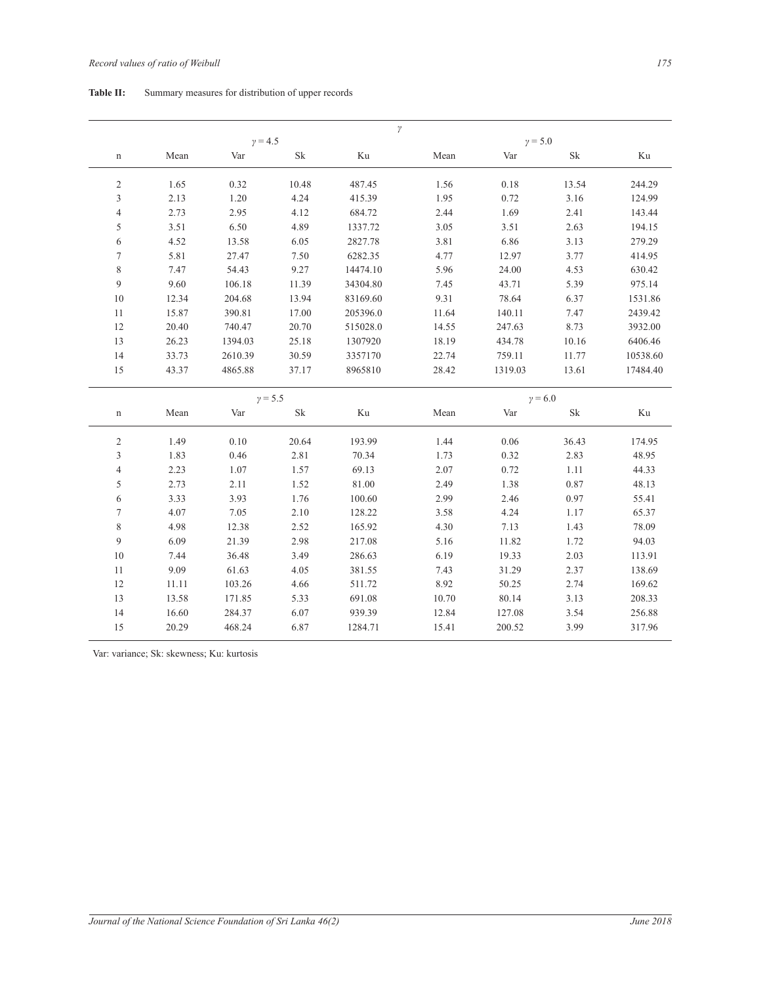## Table II: Summary measures for distribution of upper records

|                  |       | $y = 4.5$ |                     | $\gamma$ |       |                  |                     |          |
|------------------|-------|-----------|---------------------|----------|-------|------------------|---------------------|----------|
| n                | Mean  | Var       | $\operatorname{Sk}$ | Ku       | Mean  | $y = 5.0$<br>Var | $\rm Sk$            | Ku       |
| $\boldsymbol{2}$ | 1.65  | 0.32      | 10.48               | 487.45   | 1.56  | $0.18\,$         | 13.54               | 244.29   |
| 3                | 2.13  | 1.20      | 4.24                | 415.39   | 1.95  | 0.72             | 3.16                | 124.99   |
| $\overline{4}$   | 2.73  | 2.95      | 4.12                | 684.72   | 2.44  | 1.69             | 2.41                | 143.44   |
| 5                | 3.51  | 6.50      | 4.89                | 1337.72  | 3.05  | 3.51             | 2.63                | 194.15   |
| 6                | 4.52  | 13.58     | 6.05                | 2827.78  | 3.81  | 6.86             | 3.13                | 279.29   |
| $\boldsymbol{7}$ | 5.81  | 27.47     | $7.50\,$            | 6282.35  | 4.77  | 12.97            | 3.77                | 414.95   |
| $\,$ $\,$        | 7.47  | 54.43     | 9.27                | 14474.10 | 5.96  | 24.00            | 4.53                | 630.42   |
| 9                | 9.60  | 106.18    | 11.39               | 34304.80 | 7.45  | 43.71            | 5.39                | 975.14   |
| 10               | 12.34 | 204.68    | 13.94               | 83169.60 | 9.31  | 78.64            | 6.37                | 1531.86  |
| 11               | 15.87 | 390.81    | 17.00               | 205396.0 | 11.64 | 140.11           | 7.47                | 2439.42  |
| 12               | 20.40 | 740.47    | 20.70               | 515028.0 | 14.55 | 247.63           | 8.73                | 3932.00  |
| 13               | 26.23 | 1394.03   | 25.18               | 1307920  | 18.19 | 434.78           | 10.16               | 6406.46  |
| 14               | 33.73 | 2610.39   | 30.59               | 3357170  | 22.74 | 759.11           | 11.77               | 10538.60 |
| 15               | 43.37 | 4865.88   | 37.17               | 8965810  | 28.42 | 1319.03          | 13.61               | 17484.40 |
|                  |       | $y = 5.5$ |                     |          |       | $y = 6.0$        |                     |          |
| n                | Mean  | Var       | $\rm Sk$            | Ku       | Mean  | Var              | $\operatorname{Sk}$ | $\rm Ku$ |
| $\mathfrak{2}$   | 1.49  | 0.10      | 20.64               | 193.99   | 1.44  | 0.06             | 36.43               | 174.95   |
| 3                | 1.83  | 0.46      | 2.81                | 70.34    | 1.73  | 0.32             | 2.83                | 48.95    |
| $\overline{4}$   | 2.23  | 1.07      | 1.57                | 69.13    | 2.07  | 0.72             | 1.11                | 44.33    |
| 5                | 2.73  | 2.11      | 1.52                | 81.00    | 2.49  | 1.38             | 0.87                | 48.13    |
| $\boldsymbol{6}$ | 3.33  | 3.93      | 1.76                | 100.60   | 2.99  | 2.46             | 0.97                | 55.41    |
| $\boldsymbol{7}$ | 4.07  | 7.05      | 2.10                | 128.22   | 3.58  | 4.24             | 1.17                | 65.37    |
| $\,$ $\,$        | 4.98  | 12.38     | 2.52                | 165.92   | 4.30  | 7.13             | 1.43                | 78.09    |
| 9                | 6.09  | 21.39     | 2.98                | 217.08   | 5.16  | 11.82            | 1.72                | 94.03    |
| $10\,$           | 7.44  | 36.48     | 3.49                | 286.63   | 6.19  | 19.33            | 2.03                | 113.91   |
| $11\,$           | 9.09  | 61.63     | 4.05                | 381.55   | 7.43  | 31.29            | 2.37                | 138.69   |
| 12               | 11.11 | 103.26    | 4.66                | 511.72   | 8.92  | 50.25            | 2.74                | 169.62   |
| 13               | 13.58 | 171.85    | 5.33                | 691.08   | 10.70 | 80.14            | 3.13                | 208.33   |
|                  |       | 284.37    | 6.07                | 939.39   | 12.84 | 127.08           | 3.54                | 256.88   |
| 14               | 16.60 |           |                     |          |       |                  |                     |          |

Var: variance; Sk: skewness; Ku: kurtosis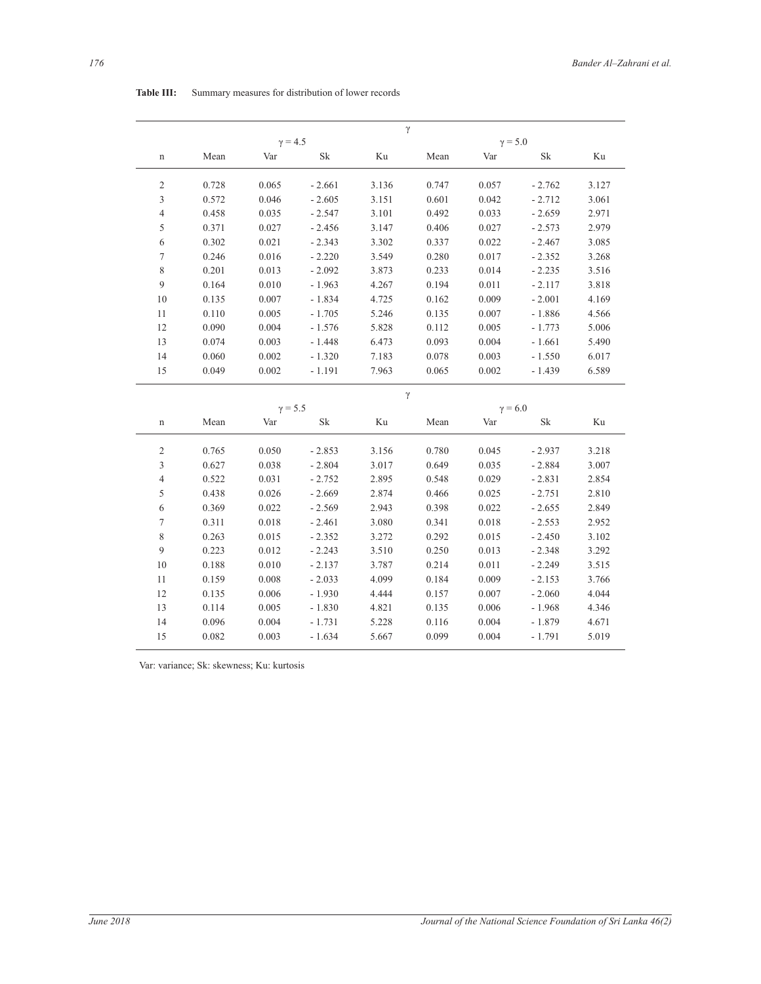|                  |       | $\gamma = 4.5$ |          | $\gamma$ |       |                       |                     |       |  |
|------------------|-------|----------------|----------|----------|-------|-----------------------|---------------------|-------|--|
| n                | Mean  | Var            | Sk       | Ku       | Mean  | $\gamma = 5.0$<br>Var | $\operatorname{Sk}$ | Ku    |  |
| $\mathfrak{2}$   | 0.728 | 0.065          | $-2.661$ | 3.136    | 0.747 | 0.057                 | $-2.762$            | 3.127 |  |
| 3                | 0.572 | 0.046          | $-2.605$ | 3.151    | 0.601 | 0.042                 | $-2.712$            | 3.061 |  |
| 4                | 0.458 | 0.035          | $-2.547$ | 3.101    | 0.492 | 0.033                 | $-2.659$            | 2.971 |  |
| 5                | 0.371 | 0.027          | $-2.456$ | 3.147    | 0.406 | 0.027                 | $-2.573$            | 2.979 |  |
| 6                | 0.302 | 0.021          | $-2.343$ | 3.302    | 0.337 | 0.022                 | $-2.467$            | 3.085 |  |
| $\boldsymbol{7}$ | 0.246 | 0.016          | $-2.220$ | 3.549    | 0.280 | 0.017                 | $-2.352$            | 3.268 |  |
| $\,$ $\,$        | 0.201 | 0.013          | $-2.092$ | 3.873    | 0.233 | 0.014                 | $-2.235$            | 3.516 |  |
| 9                | 0.164 | 0.010          | $-1.963$ | 4.267    | 0.194 | 0.011                 | $-2.117$            | 3.818 |  |
| 10               | 0.135 | 0.007          | $-1.834$ | 4.725    | 0.162 | 0.009                 | $-2.001$            | 4.169 |  |
| 11               | 0.110 | 0.005          | $-1.705$ | 5.246    | 0.135 | 0.007                 | $-1.886$            | 4.566 |  |
| 12               | 0.090 | 0.004          | $-1.576$ | 5.828    | 0.112 | 0.005                 | $-1.773$            | 5.006 |  |
| 13               | 0.074 | 0.003          | $-1.448$ | 6.473    | 0.093 | 0.004                 | $-1.661$            | 5.490 |  |
| 14               | 0.060 | 0.002          | $-1.320$ | 7.183    | 0.078 | 0.003                 | $-1.550$            | 6.017 |  |
| 15               | 0.049 | 0.002          | $-1.191$ | 7.963    | 0.065 | 0.002                 | $-1.439$            | 6.589 |  |
|                  |       |                |          | $\gamma$ |       |                       |                     |       |  |
|                  |       | $\gamma = 5.5$ |          |          |       |                       | $\gamma = 6.0$      |       |  |
| $\mathbf n$      | Mean  | Var            | Sk       | Ku       | Mean  | Var                   | Sk                  | Ku    |  |
| $\overline{c}$   | 0.765 | 0.050          | $-2.853$ | 3.156    | 0.780 | 0.045                 | $-2.937$            | 3.218 |  |
| 3                | 0.627 | 0.038          | $-2.804$ | 3.017    | 0.649 | 0.035                 | $-2.884$            | 3.007 |  |
| $\overline{4}$   | 0.522 | 0.031          | $-2.752$ | 2.895    | 0.548 | 0.029                 | $-2.831$            | 2.854 |  |
| 5                | 0.438 | 0.026          | $-2.669$ | 2.874    | 0.466 | 0.025                 | $-2.751$            | 2.810 |  |
| 6                | 0.369 | 0.022          | $-2.569$ | 2.943    | 0.398 | 0.022                 | $-2.655$            | 2.849 |  |
| $\tau$           | 0.311 | 0.018          | $-2.461$ | 3.080    | 0.341 | 0.018                 | $-2.553$            | 2.952 |  |
| 8                | 0.263 | 0.015          | $-2.352$ | 3.272    | 0.292 | 0.015                 | $-2.450$            | 3.102 |  |
| 9                | 0.223 | 0.012          | $-2.243$ | 3.510    | 0.250 | 0.013                 | $-2.348$            | 3.292 |  |
| 10               | 0.188 | 0.010          | $-2.137$ | 3.787    | 0.214 | 0.011                 | $-2.249$            | 3.515 |  |
| 11               | 0.159 | 0.008          | $-2.033$ | 4.099    | 0.184 | 0.009                 | $-2.153$            | 3.766 |  |
|                  |       | 0.006          | $-1.930$ | 4.444    | 0.157 | 0.007                 | $-2.060$            | 4.044 |  |
| 12               | 0.135 |                |          |          |       |                       |                     |       |  |
| 13               | 0.114 | 0.005          | $-1.830$ | 4.821    | 0.135 | 0.006                 | $-1.968$            | 4.346 |  |
| 14               | 0.096 | 0.004          | $-1.731$ | 5.228    | 0.116 | 0.004                 | $-1.879$            | 4.671 |  |

## Table III: Summary measures for distribution of lower records

Var: variance; Sk: skewness; Ku: kurtosis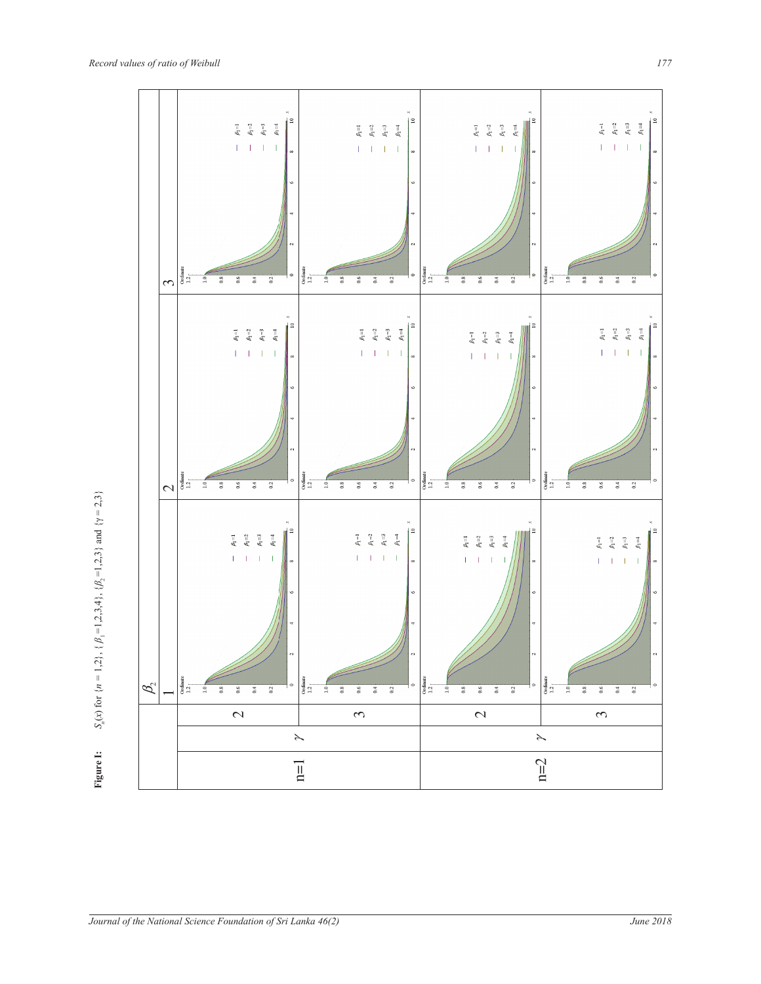

*S x* 1,2 1,2,3,4 1,2,3 2,3  $S_n(x)$  for  $\{n = 1, 2\}$ ,  $\{\beta_1 = 1, 2, 3, 4\}$ ,  $\{\beta_2 = 1, 2, 3\}$  and  $\{\gamma = 2, 3\}$ **Eigure I:**  $S_n(x)$  for  $\{n = 1, 2\}$ ,  $\{\beta_1 = 1, 2, 3, 4\}$ ,  $\{\beta_2 = 1, 2, 3\}$  and  $\{\gamma = 2, 3\}$ Figure 1: